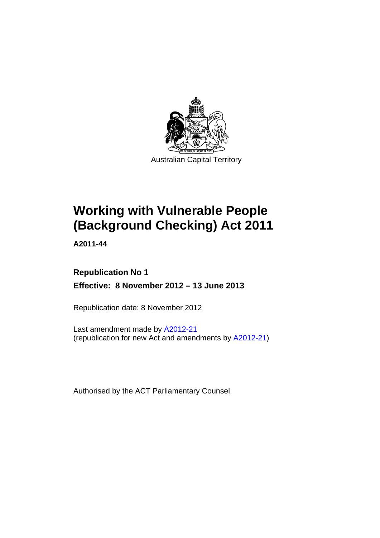

# **Working with Vulnerable People (Background Checking) Act 2011**

**A2011-44** 

# **Republication No 1 Effective: 8 November 2012 – 13 June 2013**

Republication date: 8 November 2012

Last amendment made by [A2012-21](http://www.legislation.act.gov.au/a/2012-21/default.asp) (republication for new Act and amendments by [A2012-21\)](http://www.legislation.act.gov.au/a/2012-21/default.asp)

Authorised by the ACT Parliamentary Counsel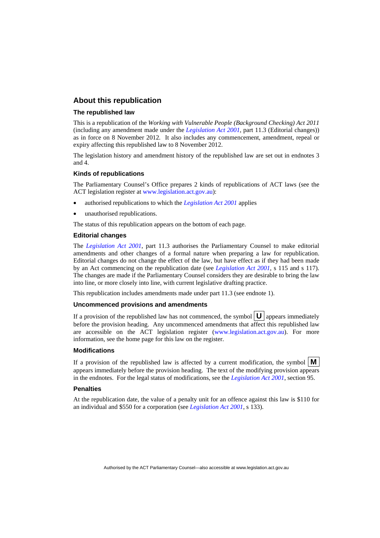### **About this republication**

#### **The republished law**

This is a republication of the *Working with Vulnerable People (Background Checking) Act 2011* (including any amendment made under the *[Legislation Act 2001](http://www.legislation.act.gov.au/a/2001-14)*, part 11.3 (Editorial changes)) as in force on 8 November 2012*.* It also includes any commencement, amendment, repeal or expiry affecting this republished law to 8 November 2012.

The legislation history and amendment history of the republished law are set out in endnotes 3 and 4.

#### **Kinds of republications**

The Parliamentary Counsel's Office prepares 2 kinds of republications of ACT laws (see the ACT legislation register at [www.legislation.act.gov.au](http://www.legislation.act.gov.au/)):

- authorised republications to which the *[Legislation Act 2001](http://www.legislation.act.gov.au/a/2001-14)* applies
- unauthorised republications.

The status of this republication appears on the bottom of each page.

#### **Editorial changes**

The *[Legislation Act 2001](http://www.legislation.act.gov.au/a/2001-14)*, part 11.3 authorises the Parliamentary Counsel to make editorial amendments and other changes of a formal nature when preparing a law for republication. Editorial changes do not change the effect of the law, but have effect as if they had been made by an Act commencing on the republication date (see *[Legislation Act 2001](http://www.legislation.act.gov.au/a/2001-14)*, s 115 and s 117). The changes are made if the Parliamentary Counsel considers they are desirable to bring the law into line, or more closely into line, with current legislative drafting practice.

This republication includes amendments made under part 11.3 (see endnote 1).

#### **Uncommenced provisions and amendments**

If a provision of the republished law has not commenced, the symbol  $\mathbf{U}$  appears immediately before the provision heading. Any uncommenced amendments that affect this republished law are accessible on the ACT legislation register [\(www.legislation.act.gov.au\)](http://www.legislation.act.gov.au/). For more information, see the home page for this law on the register.

#### **Modifications**

If a provision of the republished law is affected by a current modification, the symbol  $\mathbf{M}$ appears immediately before the provision heading. The text of the modifying provision appears in the endnotes. For the legal status of modifications, see the *[Legislation Act 2001](http://www.legislation.act.gov.au/a/2001-14)*, section 95.

#### **Penalties**

At the republication date, the value of a penalty unit for an offence against this law is \$110 for an individual and \$550 for a corporation (see *[Legislation Act 2001](http://www.legislation.act.gov.au/a/2001-14)*, s 133).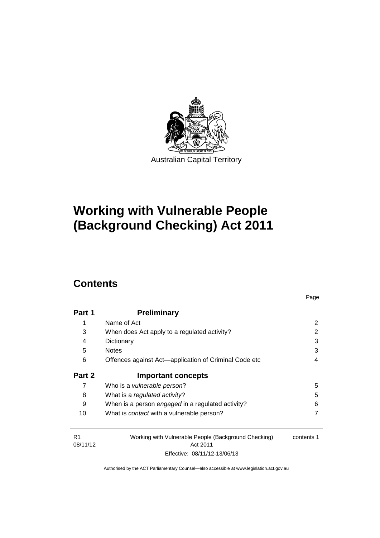

# **Working with Vulnerable People (Background Checking) Act 2011**

# **Contents**

| Part 1 | <b>Preliminary</b>                                    |   |
|--------|-------------------------------------------------------|---|
| 1      | Name of Act                                           | 2 |
| 3      | When does Act apply to a regulated activity?          | 2 |
| 4      | Dictionary                                            | 3 |
| 5      | <b>Notes</b>                                          | 3 |
| 6      | Offences against Act-application of Criminal Code etc | 4 |
| Part 2 | <b>Important concepts</b>                             |   |
| 7      | Who is a <i>vulnerable person</i> ?                   | 5 |
|        |                                                       |   |
| 8      | What is a regulated activity?                         | 5 |
| 9      | When is a person engaged in a regulated activity?     | 6 |
| 10     | What is <i>contact</i> with a vulnerable person?      |   |

| R1 |          |
|----|----------|
|    | 08/11/12 |

Working with Vulnerable People (Background Checking) Act 2011 Effective: 08/11/12-13/06/13 contents 1

Page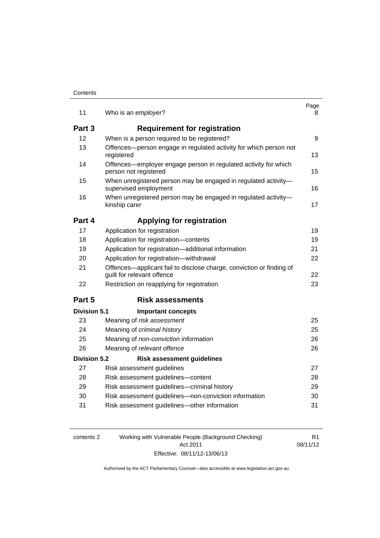| 11                  | Who is an employer?                                                                                | Page<br>8 |
|---------------------|----------------------------------------------------------------------------------------------------|-----------|
|                     |                                                                                                    |           |
| Part 3              | <b>Requirement for registration</b>                                                                |           |
| 12                  | When is a person required to be registered?                                                        | 9         |
| 13                  | Offences—person engage in regulated activity for which person not<br>registered                    | 13        |
| 14                  | Offences—employer engage person in regulated activity for which<br>person not registered           | 15        |
| 15                  | When unregistered person may be engaged in regulated activity-<br>supervised employment            | 16        |
| 16                  | When unregistered person may be engaged in regulated activity-<br>kinship carer                    | 17        |
| Part 4              | <b>Applying for registration</b>                                                                   |           |
| 17                  | Application for registration                                                                       | 19        |
| 18                  | Application for registration-contents                                                              | 19        |
| 19                  | Application for registration-additional information                                                | 21        |
| 20                  | Application for registration-withdrawal                                                            | 22        |
| 21                  | Offences—applicant fail to disclose charge, conviction or finding of<br>guilt for relevant offence | 22        |
| 22                  | Restriction on reapplying for registration                                                         | 23        |
| Part 5              | <b>Risk assessments</b>                                                                            |           |
| <b>Division 5.1</b> | <b>Important concepts</b>                                                                          |           |
| 23                  | Meaning of risk assessment                                                                         | 25        |
| 24                  | Meaning of criminal history                                                                        | 25        |
| 25                  | Meaning of non-conviction information                                                              | 26        |
| 26                  | Meaning of relevant offence                                                                        | 26        |
| <b>Division 5.2</b> | <b>Risk assessment guidelines</b>                                                                  |           |
| 27                  | Risk assessment guidelines                                                                         | 27        |
| 28                  | Risk assessment guidelines-content                                                                 | 28        |
| 29                  | Risk assessment guidelines-criminal history                                                        | 29        |
| 30                  | Risk assessment guidelines-non-conviction information                                              | 30        |
| 31                  | Risk assessment guidelines-other information                                                       | 31        |

| contents 2 | Working with Vulnerable People (Background Checking) | R1       |
|------------|------------------------------------------------------|----------|
|            | Act 2011                                             | 08/11/12 |
|            | Effective: 08/11/12-13/06/13                         |          |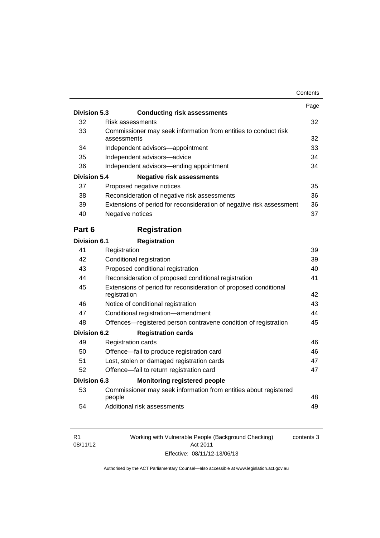|                     |                                                                                  | Contents |
|---------------------|----------------------------------------------------------------------------------|----------|
|                     |                                                                                  | Page     |
| Division 5.3        | <b>Conducting risk assessments</b>                                               |          |
| 32                  | Risk assessments                                                                 | 32       |
| 33                  | Commissioner may seek information from entities to conduct risk<br>assessments   | 32       |
| 34                  | Independent advisors-appointment                                                 | 33       |
| 35                  | Independent advisors-advice                                                      | 34       |
| 36                  | Independent advisors-ending appointment                                          | 34       |
| <b>Division 5.4</b> | <b>Negative risk assessments</b>                                                 |          |
| 37                  | Proposed negative notices                                                        | 35       |
| 38                  | Reconsideration of negative risk assessments                                     | 36       |
| 39                  | Extensions of period for reconsideration of negative risk assessment             | 36       |
| 40                  | Negative notices                                                                 | 37       |
| Part 6              | <b>Registration</b>                                                              |          |
| Division 6.1        | <b>Registration</b>                                                              |          |
| 41                  | Registration                                                                     | 39       |
| 42                  | Conditional registration                                                         | 39       |
| 43                  | Proposed conditional registration                                                | 40       |
| 44                  | Reconsideration of proposed conditional registration                             | 41       |
| 45                  | Extensions of period for reconsideration of proposed conditional<br>registration | 42       |
| 46                  | Notice of conditional registration                                               | 43       |
| 47                  | Conditional registration-amendment                                               | 44       |
| 48                  | Offences-registered person contravene condition of registration                  | 45       |
| <b>Division 6.2</b> | <b>Registration cards</b>                                                        |          |
| 49                  | <b>Registration cards</b>                                                        | 46       |
| 50                  | Offence-fail to produce registration card                                        | 46       |
| 51                  | Lost, stolen or damaged registration cards                                       | 47       |
| 52                  | Offence-fail to return registration card                                         | 47       |
|                     | <b>Monitoring registered people</b>                                              |          |
| <b>Division 6.3</b> |                                                                                  |          |
| 53                  | Commissioner may seek information from entities about registered<br>people       | 48       |

| -R1      | Working with Vulnerable People (Background Checking) | contents 3 |
|----------|------------------------------------------------------|------------|
| 08/11/12 | Act 2011                                             |            |
|          | Effective: 08/11/12-13/06/13                         |            |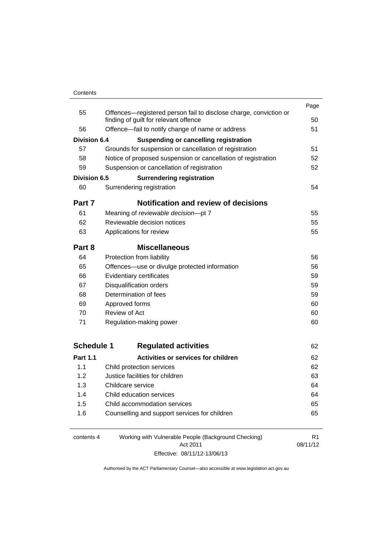#### **Contents**

|                     |                                                                                                            | Page           |
|---------------------|------------------------------------------------------------------------------------------------------------|----------------|
| 55                  | Offences—registered person fail to disclose charge, conviction or<br>finding of guilt for relevant offence | 50             |
| 56                  | Offence-fail to notify change of name or address                                                           | 51             |
| <b>Division 6.4</b> | <b>Suspending or cancelling registration</b>                                                               |                |
| 57                  | Grounds for suspension or cancellation of registration                                                     | 51             |
| 58                  | Notice of proposed suspension or cancellation of registration                                              | 52             |
| 59                  | Suspension or cancellation of registration                                                                 | 52             |
| <b>Division 6.5</b> | <b>Surrendering registration</b>                                                                           |                |
| 60                  | Surrendering registration                                                                                  | 54             |
| Part 7              | <b>Notification and review of decisions</b>                                                                |                |
| 61                  | Meaning of reviewable decision-pt 7                                                                        | 55             |
| 62                  | Reviewable decision notices                                                                                | 55             |
| 63                  | Applications for review                                                                                    | 55             |
| Part 8              | <b>Miscellaneous</b>                                                                                       |                |
| 64                  | Protection from liability                                                                                  | 56             |
| 65                  | Offences-use or divulge protected information                                                              | 56             |
| 66                  | Evidentiary certificates                                                                                   |                |
| 67                  | <b>Disqualification orders</b>                                                                             |                |
| 68                  | Determination of fees                                                                                      |                |
| 69                  | Approved forms                                                                                             |                |
| 70                  | Review of Act                                                                                              |                |
| 71                  | Regulation-making power                                                                                    | 60             |
| <b>Schedule 1</b>   | <b>Regulated activities</b>                                                                                | 62             |
|                     |                                                                                                            |                |
| <b>Part 1.1</b>     | Activities or services for children                                                                        | 62             |
| 1.1                 | Child protection services                                                                                  | 62             |
| 1.2                 | Justice facilities for children                                                                            | 63             |
| 1.3                 | Childcare service                                                                                          | 64             |
| 1.4                 | Child education services                                                                                   | 64             |
| 1.5                 | Child accommodation services                                                                               | 65             |
| 1.6                 | Counselling and support services for children                                                              | 65             |
| contents 4          | Working with Vulnerable People (Background Checking)                                                       | R <sub>1</sub> |
|                     | Act 2011                                                                                                   | 08/11/12       |

Effective: 08/11/12-13/06/13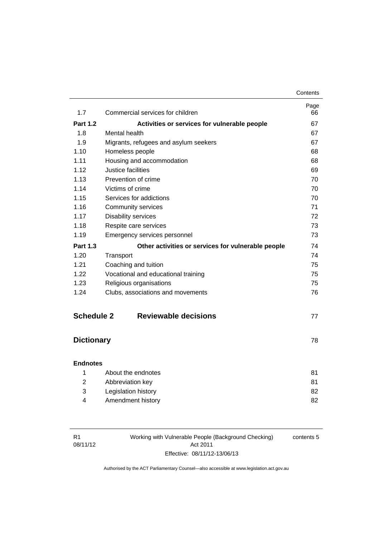| 1.7               | Commercial services for children                   | Page<br>66 |
|-------------------|----------------------------------------------------|------------|
| <b>Part 1.2</b>   | Activities or services for vulnerable people       | 67         |
| 1.8               | Mental health                                      | 67         |
| 1.9               | Migrants, refugees and asylum seekers              | 67         |
| 1.10              | Homeless people                                    | 68         |
| 1.11              | Housing and accommodation                          | 68         |
| 1.12              | Justice facilities                                 | 69         |
| 1.13              | Prevention of crime                                | 70         |
| 1.14              | Victims of crime                                   | 70         |
| 1.15              | Services for addictions                            | 70         |
| 1.16              | Community services                                 | 71         |
| 1.17              | <b>Disability services</b>                         | 72         |
| 1.18              | Respite care services                              | 73         |
| 1.19              | Emergency services personnel                       | 73         |
| <b>Part 1.3</b>   | Other activities or services for vulnerable people | 74         |
| 1.20              | Transport                                          | 74         |
| 1.21              | Coaching and tuition                               | 75         |
| 1.22              | Vocational and educational training                | 75         |
| 1.23              | Religious organisations                            | 75         |
| 1.24              | Clubs, associations and movements                  | 76         |
| <b>Schedule 2</b> | <b>Reviewable decisions</b>                        | 77         |

# **[Dictionary](#page-85-0)** [78](#page-85-0)

# **[Endnotes](#page-88-0)**

|    | About the endnotes  | 81 |
|----|---------------------|----|
| -2 | Abbreviation key    | 81 |
| -3 | Legislation history | 82 |
| 4  | Amendment history   | 82 |
|    |                     |    |

| R1       |  |
|----------|--|
| 08/11/12 |  |

Working with Vulnerable People (Background Checking) Act 2011 Effective: 08/11/12-13/06/13 contents 5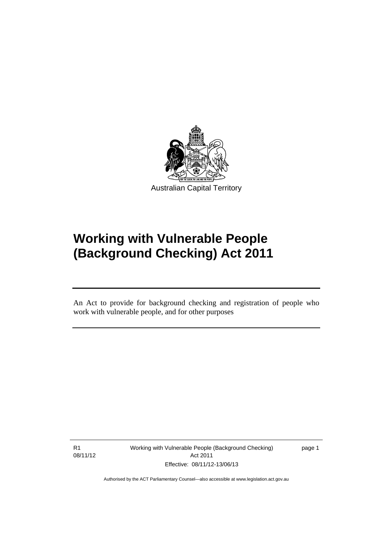

# **Working with Vulnerable People (Background Checking) Act 2011**

An Act to provide for background checking and registration of people who work with vulnerable people, and for other purposes

R1 08/11/12

l

Working with Vulnerable People (Background Checking) Act 2011 Effective: 08/11/12-13/06/13

page 1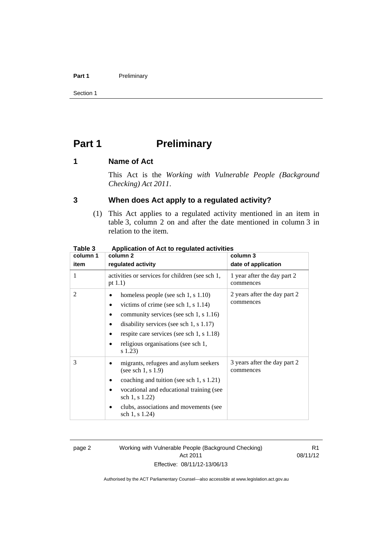#### Part 1 **Preliminary**

Section 1

# <span id="page-9-0"></span>**Part 1** Preliminary

### <span id="page-9-1"></span>**1 Name of Act**

This Act is the *Working with Vulnerable People (Background Checking) Act 2011*.

# <span id="page-9-2"></span>**3 When does Act apply to a regulated activity?**

(1) This Act applies to a regulated activity mentioned in an item in table 3, column 2 on and after the date mentioned in column 3 in relation to the item.

| rapie 3        | Application of Act to requiated activities                                                                                                                                                                                                                                   |                                           |  |
|----------------|------------------------------------------------------------------------------------------------------------------------------------------------------------------------------------------------------------------------------------------------------------------------------|-------------------------------------------|--|
| column 1       | column 2                                                                                                                                                                                                                                                                     | column 3                                  |  |
| item           | regulated activity                                                                                                                                                                                                                                                           | date of application                       |  |
| 1              | activities or services for children (see sch 1,<br>pt $(1.1)$                                                                                                                                                                                                                | 1 year after the day part 2<br>commences  |  |
| $\overline{2}$ | homeless people (see sch $1, s 1.10$ )<br>victims of crime (see sch 1, s $1.14$ )<br>٠<br>community services (see sch 1, s 1.16)<br>disability services (see sch $1, s$ 1.17)<br>respite care services (see sch 1, s 1.18)<br>religious organisations (see sch 1,<br>s 1.23) | 2 years after the day part 2<br>commences |  |
| 3              | migrants, refugees and asylum seekers<br>(see sch 1, s $1.9$ )<br>coaching and tuition (see sch 1, s $1.21$ )<br>vocational and educational training (see<br>sch 1, s 1.22)<br>clubs, associations and movements (see<br>sch 1, s 1.24)                                      | 3 years after the day part 2<br>commences |  |

# **Table 3 Application of Act to regulated activities**

page 2 Working with Vulnerable People (Background Checking) Act 2011 Effective: 08/11/12-13/06/13

R1 08/11/12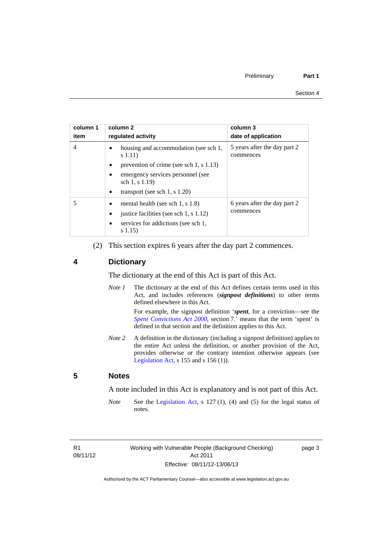| column 1<br>item | column 2<br>requlated activity                              | column 3<br>date of application           |
|------------------|-------------------------------------------------------------|-------------------------------------------|
| 4                | housing and accommodation (see sch 1,<br>s(1.11)            | 5 years after the day part 2<br>commences |
|                  | prevention of crime (see sch 1, s 1.13)<br>$\bullet$        |                                           |
|                  | emergency services personnel (see<br>sch $1, s 1.19$        |                                           |
|                  | transport (see sch 1, s $1.20$ )<br>$\bullet$               |                                           |
|                  | mental health (see sch 1, s $1.8$ )                         | 6 years after the day part 2<br>commences |
|                  | justice facilities (see sch 1, s 1.12)                      |                                           |
|                  | services for addictions (see sch 1,<br>$\bullet$<br>s(1.15) |                                           |

(2) This section expires 6 years after the day part 2 commences.

# <span id="page-10-0"></span>**4 Dictionary**

The dictionary at the end of this Act is part of this Act.

*Note 1* The dictionary at the end of this Act defines certain terms used in this Act, and includes references (*signpost definitions*) to other terms defined elsewhere in this Act.

> For example, the signpost definition '*spent*, for a conviction—see the *[Spent Convictions Act 2000](http://www.legislation.act.gov.au/a/2000-48)*, section 7.<sup>7</sup> means that the term 'spent' is defined in that section and the definition applies to this Act.

*Note 2* A definition in the dictionary (including a signpost definition) applies to the entire Act unless the definition, or another provision of the Act, provides otherwise or the contrary intention otherwise appears (see [Legislation Act,](http://www.legislation.act.gov.au/a/2001-14)  $s$  155 and  $s$  156 (1)).

# <span id="page-10-1"></span>**5 Notes**

A note included in this Act is explanatory and is not part of this Act.

*Note* See the [Legislation Act,](http://www.legislation.act.gov.au/a/2001-14) s 127 (1), (4) and (5) for the legal status of notes.

R1 08/11/12 page 3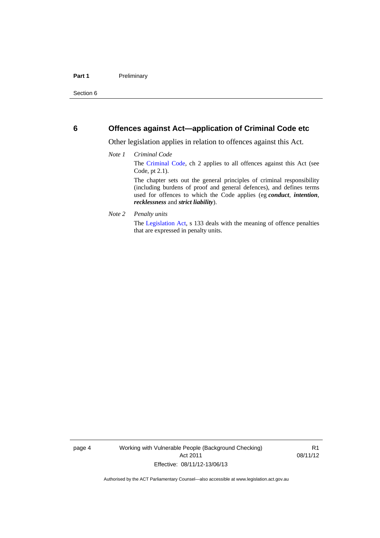### <span id="page-11-0"></span>**6 Offences against Act—application of Criminal Code etc**

Other legislation applies in relation to offences against this Act.

#### *Note 1 Criminal Code*

The [Criminal Code](http://www.legislation.act.gov.au/a/2002-51/default.asp), ch 2 applies to all offences against this Act (see Code, pt 2.1).

The chapter sets out the general principles of criminal responsibility (including burdens of proof and general defences), and defines terms used for offences to which the Code applies (eg *conduct*, *intention*, *recklessness* and *strict liability*).

#### *Note 2 Penalty units*

The [Legislation Act](http://www.legislation.act.gov.au/a/2001-14), s 133 deals with the meaning of offence penalties that are expressed in penalty units.

page 4 Working with Vulnerable People (Background Checking) Act 2011 Effective: 08/11/12-13/06/13

R1 08/11/12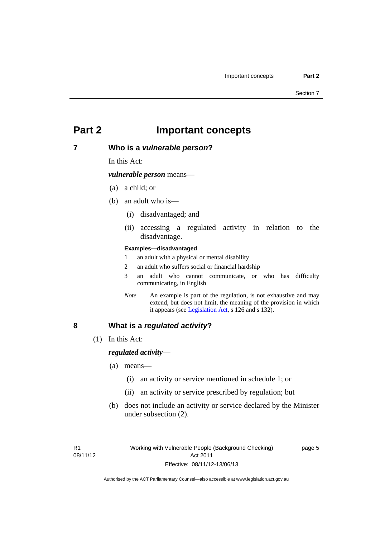# <span id="page-12-0"></span>**Part 2 Important concepts**

### <span id="page-12-1"></span>**7 Who is a** *vulnerable person***?**

In this Act:

*vulnerable person* means—

- (a) a child; or
- (b) an adult who is—
	- (i) disadvantaged; and
	- (ii) accessing a regulated activity in relation to the disadvantage.

#### **Examples—disadvantaged**

- 1 an adult with a physical or mental disability
- 2 an adult who suffers social or financial hardship
- 3 an adult who cannot communicate, or who has difficulty communicating, in English
- *Note* An example is part of the regulation, is not exhaustive and may extend, but does not limit, the meaning of the provision in which it appears (see [Legislation Act,](http://www.legislation.act.gov.au/a/2001-14) s 126 and s 132).

### <span id="page-12-2"></span>**8 What is a** *regulated activity***?**

(1) In this Act:

#### *regulated activity*—

- (a) means—
	- (i) an activity or service mentioned in schedule 1; or
	- (ii) an activity or service prescribed by regulation; but
- (b) does not include an activity or service declared by the Minister under subsection (2).

page 5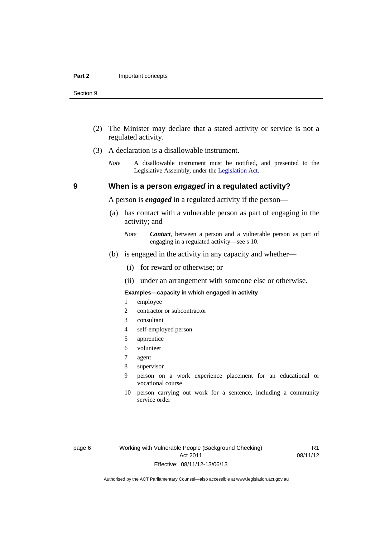- (2) The Minister may declare that a stated activity or service is not a regulated activity.
- (3) A declaration is a disallowable instrument.
	- *Note* A disallowable instrument must be notified, and presented to the Legislative Assembly, under the [Legislation Act.](http://www.legislation.act.gov.au/a/2001-14)

# **9 When is a person** *engaged* **in a regulated activity?**

A person is *engaged* in a regulated activity if the person—

- (a) has contact with a vulnerable person as part of engaging in the activity; and
	- *Note Contact*, between a person and a vulnerable person as part of engaging in a regulated activity—see s 10.
- (b) is engaged in the activity in any capacity and whether—
	- (i) for reward or otherwise; or
	- (ii) under an arrangement with someone else or otherwise.

#### **Examples—capacity in which engaged in activity**

- 1 employee
- 2 contractor or subcontractor
- 3 consultant
- 4 self-employed person
- 5 apprentice
- 6 volunteer
- 7 agent
- 8 supervisor
- 9 person on a work experience placement for an educational or vocational course
- 10 person carrying out work for a sentence, including a community service order

page 6 Working with Vulnerable People (Background Checking) Act 2011 Effective: 08/11/12-13/06/13

R1 08/11/12

<span id="page-13-0"></span>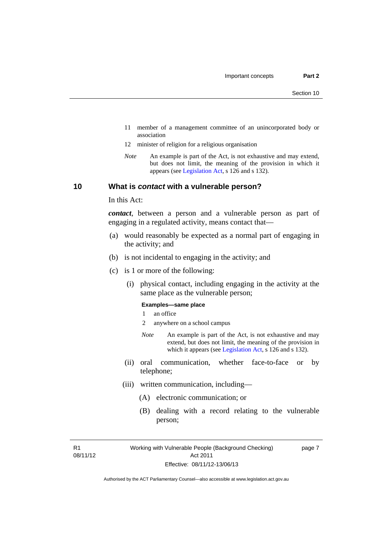- 11 member of a management committee of an unincorporated body or association
- 12 minister of religion for a religious organisation
- *Note* An example is part of the Act, is not exhaustive and may extend, but does not limit, the meaning of the provision in which it appears (see [Legislation Act,](http://www.legislation.act.gov.au/a/2001-14) s 126 and s 132).

### <span id="page-14-0"></span>**10 What is** *contact* **with a vulnerable person?**

In this Act:

*contact*, between a person and a vulnerable person as part of engaging in a regulated activity, means contact that—

- (a) would reasonably be expected as a normal part of engaging in the activity; and
- (b) is not incidental to engaging in the activity; and
- (c) is 1 or more of the following:
	- (i) physical contact, including engaging in the activity at the same place as the vulnerable person;

#### **Examples—same place**

- 1 an office
- 2 anywhere on a school campus
- *Note* An example is part of the Act, is not exhaustive and may extend, but does not limit, the meaning of the provision in which it appears (see [Legislation Act,](http://www.legislation.act.gov.au/a/2001-14) s 126 and s 132).
- (ii) oral communication, whether face-to-face or by telephone;
- (iii) written communication, including—
	- (A) electronic communication; or
	- (B) dealing with a record relating to the vulnerable person;

R1 08/11/12 page 7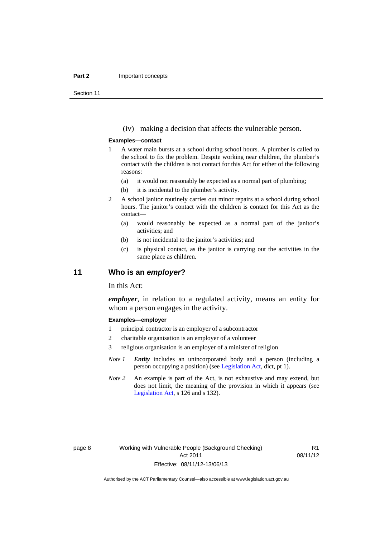#### **Part 2 Important concepts**

Section 11

(iv) making a decision that affects the vulnerable person.

#### **Examples—contact**

- 1 A water main bursts at a school during school hours. A plumber is called to the school to fix the problem. Despite working near children, the plumber's contact with the children is not contact for this Act for either of the following reasons:
	- (a) it would not reasonably be expected as a normal part of plumbing;
	- (b) it is incidental to the plumber's activity.
- 2 A school janitor routinely carries out minor repairs at a school during school hours. The janitor's contact with the children is contact for this Act as the contact—
	- (a) would reasonably be expected as a normal part of the janitor's activities; and
	- (b) is not incidental to the janitor's activities; and
	- (c) is physical contact, as the janitor is carrying out the activities in the same place as children.

# <span id="page-15-0"></span>**11 Who is an** *employer***?**

In this Act:

*employer*, in relation to a regulated activity, means an entity for whom a person engages in the activity.

#### **Examples—employer**

- 1 principal contractor is an employer of a subcontractor
- 2 charitable organisation is an employer of a volunteer
- 3 religious organisation is an employer of a minister of religion
- *Note 1 Entity* includes an unincorporated body and a person (including a person occupying a position) (see [Legislation Act,](http://www.legislation.act.gov.au/a/2001-14) dict, pt 1).
- *Note* 2 An example is part of the Act, is not exhaustive and may extend, but does not limit, the meaning of the provision in which it appears (see [Legislation Act,](http://www.legislation.act.gov.au/a/2001-14) s 126 and s 132).

R1 08/11/12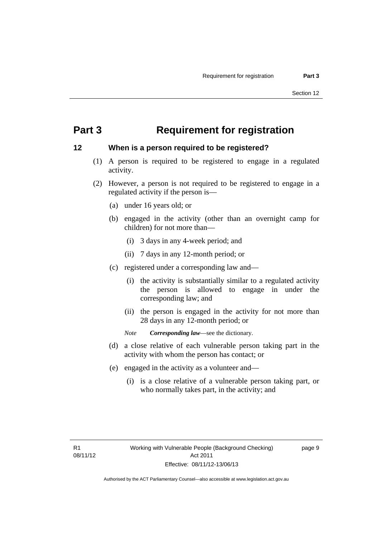# <span id="page-16-0"></span>**Part 3 Requirement for registration**

# <span id="page-16-1"></span>**12 When is a person required to be registered?**

- (1) A person is required to be registered to engage in a regulated activity.
- (2) However, a person is not required to be registered to engage in a regulated activity if the person is—
	- (a) under 16 years old; or
	- (b) engaged in the activity (other than an overnight camp for children) for not more than—
		- (i) 3 days in any 4-week period; and
		- (ii) 7 days in any 12-month period; or
	- (c) registered under a corresponding law and—
		- (i) the activity is substantially similar to a regulated activity the person is allowed to engage in under the corresponding law; and
		- (ii) the person is engaged in the activity for not more than 28 days in any 12-month period; or
		- *Note Corresponding law*—see the dictionary.
	- (d) a close relative of each vulnerable person taking part in the activity with whom the person has contact; or
	- (e) engaged in the activity as a volunteer and—
		- (i) is a close relative of a vulnerable person taking part, or who normally takes part, in the activity; and

page 9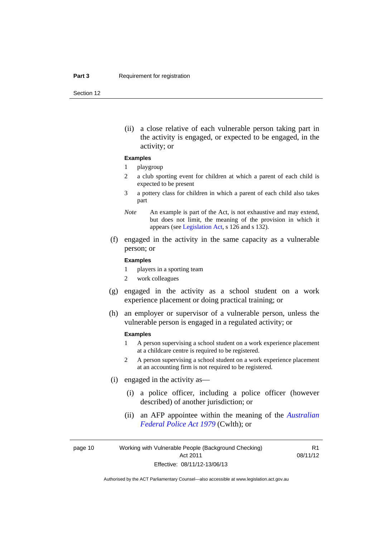Section 12

(ii) a close relative of each vulnerable person taking part in the activity is engaged, or expected to be engaged, in the activity; or

#### **Examples**

#### 1 playgroup

- 2 a club sporting event for children at which a parent of each child is expected to be present
- 3 a pottery class for children in which a parent of each child also takes part
- *Note* An example is part of the Act, is not exhaustive and may extend, but does not limit, the meaning of the provision in which it appears (see [Legislation Act,](http://www.legislation.act.gov.au/a/2001-14) s 126 and s 132).
- (f) engaged in the activity in the same capacity as a vulnerable person; or

#### **Examples**

- 1 players in a sporting team
- 2 work colleagues
- (g) engaged in the activity as a school student on a work experience placement or doing practical training; or
- (h) an employer or supervisor of a vulnerable person, unless the vulnerable person is engaged in a regulated activity; or

#### **Examples**

- 1 A person supervising a school student on a work experience placement at a childcare centre is required to be registered.
- 2 A person supervising a school student on a work experience placement at an accounting firm is not required to be registered.
- (i) engaged in the activity as—
	- (i) a police officer, including a police officer (however described) of another jurisdiction; or
	- (ii) an AFP appointee within the meaning of the *[Australian](http://www.comlaw.gov.au/Series/C2004A02068)  [Federal Police Act 1979](http://www.comlaw.gov.au/Series/C2004A02068)* (Cwlth); or

page 10 Working with Vulnerable People (Background Checking) Act 2011 Effective: 08/11/12-13/06/13

R1 08/11/12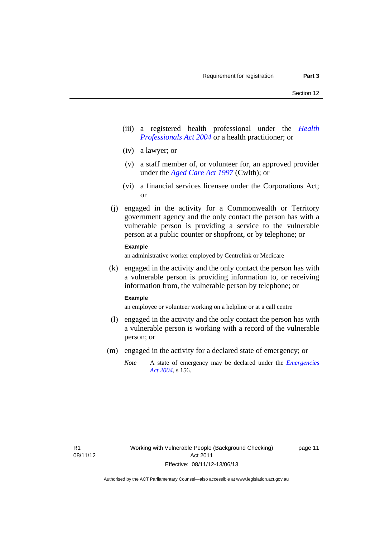- (iii) a registered health professional under the *[Health](http://www.legislation.act.gov.au/a/2004-38)  [Professionals Act 2004](http://www.legislation.act.gov.au/a/2004-38)* or a health practitioner; or
- (iv) a lawyer; or
- (v) a staff member of, or volunteer for, an approved provider under the *[Aged Care Act 1997](http://www.comlaw.gov.au/Series/C2004A05206)* (Cwlth); or
- (vi) a financial services licensee under the Corporations Act; or
- (j) engaged in the activity for a Commonwealth or Territory government agency and the only contact the person has with a vulnerable person is providing a service to the vulnerable person at a public counter or shopfront, or by telephone; or

#### **Example**

an administrative worker employed by Centrelink or Medicare

 (k) engaged in the activity and the only contact the person has with a vulnerable person is providing information to, or receiving information from, the vulnerable person by telephone; or

#### **Example**

an employee or volunteer working on a helpline or at a call centre

- (l) engaged in the activity and the only contact the person has with a vulnerable person is working with a record of the vulnerable person; or
- (m) engaged in the activity for a declared state of emergency; or
	- *Note* A state of emergency may be declared under the *[Emergencies](http://www.legislation.act.gov.au/a/2004-28)  [Act 2004](http://www.legislation.act.gov.au/a/2004-28)*, s 156.

page 11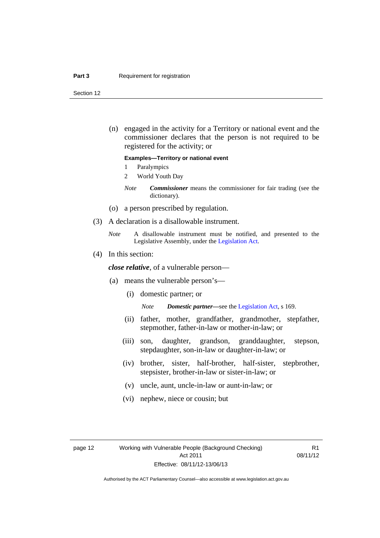#### **Part 3 Requirement for registration**

Section 12

 (n) engaged in the activity for a Territory or national event and the commissioner declares that the person is not required to be registered for the activity; or

#### **Examples—Territory or national event**

- 1 Paralympics
- 2 World Youth Day
- *Note Commissioner* means the commissioner for fair trading (see the dictionary).
- (o) a person prescribed by regulation.
- (3) A declaration is a disallowable instrument.
	- *Note* A disallowable instrument must be notified, and presented to the Legislative Assembly, under the [Legislation Act.](http://www.legislation.act.gov.au/a/2001-14)
- (4) In this section:

*close relative*, of a vulnerable person—

- (a) means the vulnerable person's—
	- (i) domestic partner; or

*Note Domestic partner—*see the [Legislation Act](http://www.legislation.act.gov.au/a/2001-14), s 169.

- (ii) father, mother, grandfather, grandmother, stepfather, stepmother, father-in-law or mother-in-law; or
- (iii) son, daughter, grandson, granddaughter, stepson, stepdaughter, son-in-law or daughter-in-law; or
- (iv) brother, sister, half-brother, half-sister, stepbrother, stepsister, brother-in-law or sister-in-law; or
- (v) uncle, aunt, uncle-in-law or aunt-in-law; or
- (vi) nephew, niece or cousin; but

R1 08/11/12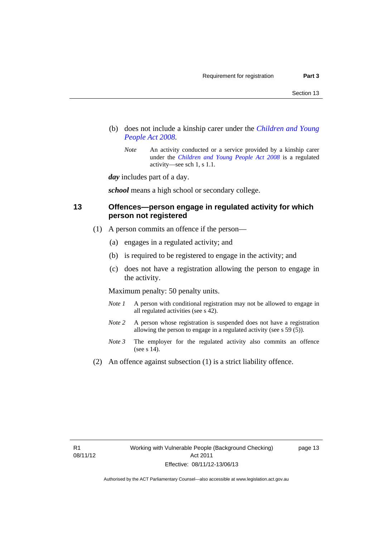- (b) does not include a kinship carer under the *[Children and Young](http://www.legislation.act.gov.au/a/2008-19)  [People Act 2008](http://www.legislation.act.gov.au/a/2008-19)*.
	- *Note* An activity conducted or a service provided by a kinship carer under the *[Children and Young People Act 2008](http://www.legislation.act.gov.au/a/2008-19)* is a regulated activity—see sch 1, s 1.1.

*day* includes part of a day.

*school* means a high school or secondary college.

# <span id="page-20-0"></span>**13 Offences—person engage in regulated activity for which person not registered**

- (1) A person commits an offence if the person—
	- (a) engages in a regulated activity; and
	- (b) is required to be registered to engage in the activity; and
	- (c) does not have a registration allowing the person to engage in the activity.

Maximum penalty: 50 penalty units.

- *Note 1* A person with conditional registration may not be allowed to engage in all regulated activities (see s 42).
- *Note* 2 A person whose registration is suspended does not have a registration allowing the person to engage in a regulated activity (see s 59 (5)).
- *Note 3* The employer for the regulated activity also commits an offence (see s 14).
- (2) An offence against subsection (1) is a strict liability offence.

page 13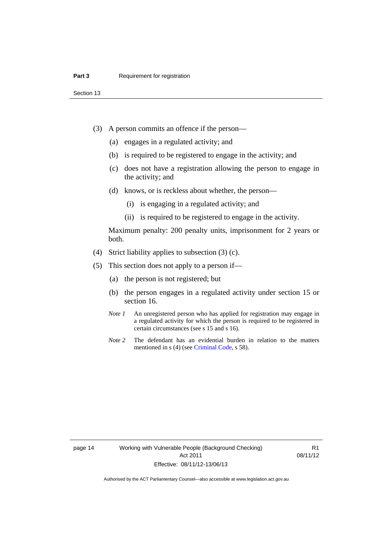Section 13

- (3) A person commits an offence if the person—
	- (a) engages in a regulated activity; and
	- (b) is required to be registered to engage in the activity; and
	- (c) does not have a registration allowing the person to engage in the activity; and
	- (d) knows, or is reckless about whether, the person—
		- (i) is engaging in a regulated activity; and
		- (ii) is required to be registered to engage in the activity.

Maximum penalty: 200 penalty units, imprisonment for 2 years or both.

- (4) Strict liability applies to subsection (3) (c).
- (5) This section does not apply to a person if—
	- (a) the person is not registered; but
	- (b) the person engages in a regulated activity under section 15 or section 16.
	- *Note 1* An unregistered person who has applied for registration may engage in a regulated activity for which the person is required to be registered in certain circumstances (see s 15 and s 16).
	- *Note* 2 The defendant has an evidential burden in relation to the matters mentioned in s (4) (see [Criminal Code](http://www.legislation.act.gov.au/a/2002-51/default.asp), s 58).

page 14 Working with Vulnerable People (Background Checking) Act 2011 Effective: 08/11/12-13/06/13

R1 08/11/12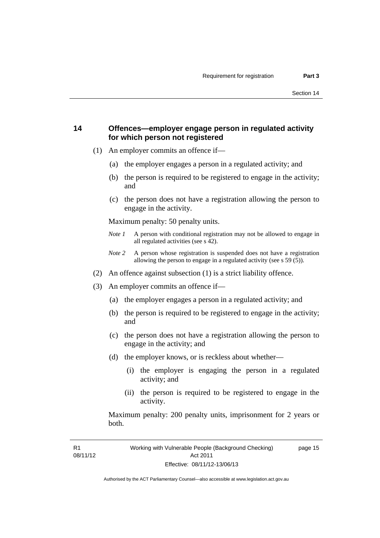# <span id="page-22-0"></span>**14 Offences—employer engage person in regulated activity for which person not registered**

- (1) An employer commits an offence if—
	- (a) the employer engages a person in a regulated activity; and
	- (b) the person is required to be registered to engage in the activity; and
	- (c) the person does not have a registration allowing the person to engage in the activity.

Maximum penalty: 50 penalty units.

- *Note 1* A person with conditional registration may not be allowed to engage in all regulated activities (see s 42).
- *Note 2* A person whose registration is suspended does not have a registration allowing the person to engage in a regulated activity (see s 59 (5)).
- (2) An offence against subsection (1) is a strict liability offence.
- (3) An employer commits an offence if—
	- (a) the employer engages a person in a regulated activity; and
	- (b) the person is required to be registered to engage in the activity; and
	- (c) the person does not have a registration allowing the person to engage in the activity; and
	- (d) the employer knows, or is reckless about whether—
		- (i) the employer is engaging the person in a regulated activity; and
		- (ii) the person is required to be registered to engage in the activity.

Maximum penalty: 200 penalty units, imprisonment for 2 years or both.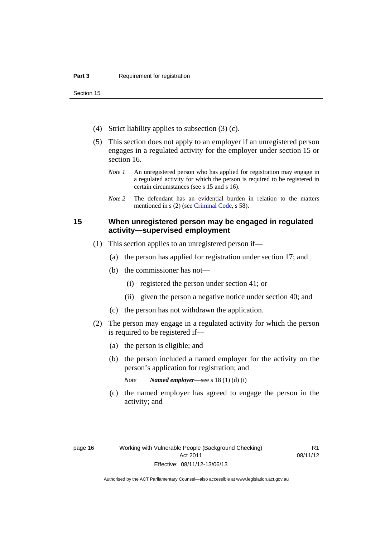Section 15

- (4) Strict liability applies to subsection (3) (c).
- (5) This section does not apply to an employer if an unregistered person engages in a regulated activity for the employer under section 15 or section 16.
	- *Note 1* An unregistered person who has applied for registration may engage in a regulated activity for which the person is required to be registered in certain circumstances (see s 15 and s 16).
	- *Note* 2 The defendant has an evidential burden in relation to the matters mentioned in s (2) (see [Criminal Code](http://www.legislation.act.gov.au/a/2002-51/default.asp), s 58).

# <span id="page-23-0"></span>**15 When unregistered person may be engaged in regulated activity—supervised employment**

- (1) This section applies to an unregistered person if—
	- (a) the person has applied for registration under section 17; and
	- (b) the commissioner has not—
		- (i) registered the person under section 41; or
		- (ii) given the person a negative notice under section 40; and
	- (c) the person has not withdrawn the application.
- (2) The person may engage in a regulated activity for which the person is required to be registered if—
	- (a) the person is eligible; and
	- (b) the person included a named employer for the activity on the person's application for registration; and
		- *Note Named employer*—see s 18 (1) (d) (i)
	- (c) the named employer has agreed to engage the person in the activity; and

R1 08/11/12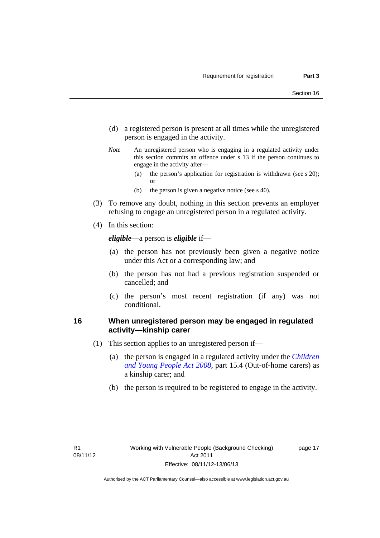- (d) a registered person is present at all times while the unregistered person is engaged in the activity.
- *Note* An unregistered person who is engaging in a regulated activity under this section commits an offence under s 13 if the person continues to engage in the activity after—
	- (a) the person's application for registration is withdrawn (see s 20); or
	- (b) the person is given a negative notice (see s 40).
- (3) To remove any doubt, nothing in this section prevents an employer refusing to engage an unregistered person in a regulated activity.
- (4) In this section:

*eligible*—a person is *eligible* if—

- (a) the person has not previously been given a negative notice under this Act or a corresponding law; and
- (b) the person has not had a previous registration suspended or cancelled; and
- (c) the person's most recent registration (if any) was not conditional.

### <span id="page-24-0"></span>**16 When unregistered person may be engaged in regulated activity—kinship carer**

- (1) This section applies to an unregistered person if—
	- (a) the person is engaged in a regulated activity under the *[Children](http://www.legislation.act.gov.au/a/2008-19)  [and Young People Act 2008](http://www.legislation.act.gov.au/a/2008-19)*, part 15.4 (Out-of-home carers) as a kinship carer; and
	- (b) the person is required to be registered to engage in the activity.

page 17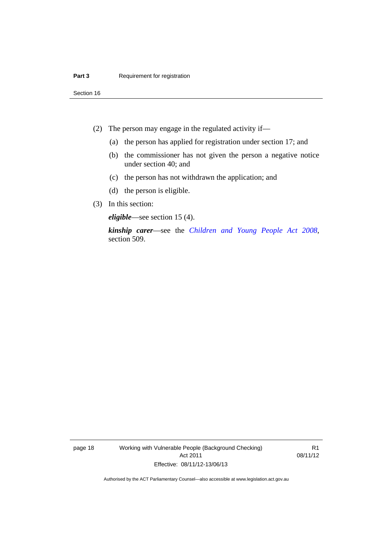Section 16

- (2) The person may engage in the regulated activity if—
	- (a) the person has applied for registration under section 17; and
	- (b) the commissioner has not given the person a negative notice under section 40; and
	- (c) the person has not withdrawn the application; and
	- (d) the person is eligible.
- (3) In this section:

*eligible*—see section 15 (4).

*kinship carer*—see the *[Children and Young People Act 2008](http://www.legislation.act.gov.au/a/2008-19)*, section 509.

page 18 Working with Vulnerable People (Background Checking) Act 2011 Effective: 08/11/12-13/06/13

R1 08/11/12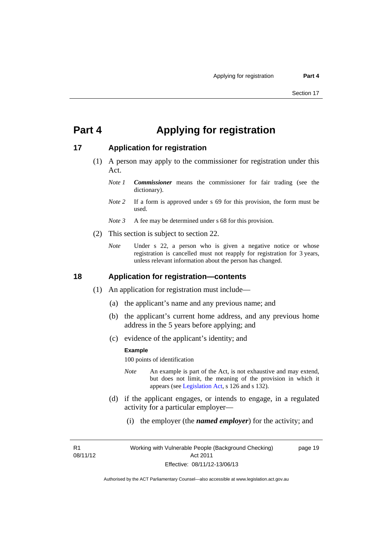# <span id="page-26-0"></span>**Part 4 Applying for registration**

# <span id="page-26-1"></span>**17 Application for registration**

- (1) A person may apply to the commissioner for registration under this Act.
	- *Note 1 Commissioner* means the commissioner for fair trading (see the dictionary).
	- *Note* 2 If a form is approved under s 69 for this provision, the form must be used.
	- *Note 3* A fee may be determined under s 68 for this provision.
- (2) This section is subject to section 22.
	- *Note* Under s 22, a person who is given a negative notice or whose registration is cancelled must not reapply for registration for 3 years, unless relevant information about the person has changed.

#### <span id="page-26-2"></span>**18 Application for registration—contents**

- (1) An application for registration must include—
	- (a) the applicant's name and any previous name; and
	- (b) the applicant's current home address, and any previous home address in the 5 years before applying; and
	- (c) evidence of the applicant's identity; and

#### **Example**

100 points of identification

- *Note* An example is part of the Act, is not exhaustive and may extend, but does not limit, the meaning of the provision in which it appears (see [Legislation Act,](http://www.legislation.act.gov.au/a/2001-14) s 126 and s 132).
- (d) if the applicant engages, or intends to engage, in a regulated activity for a particular employer—
	- (i) the employer (the *named employer*) for the activity; and

R1 08/11/12 page 19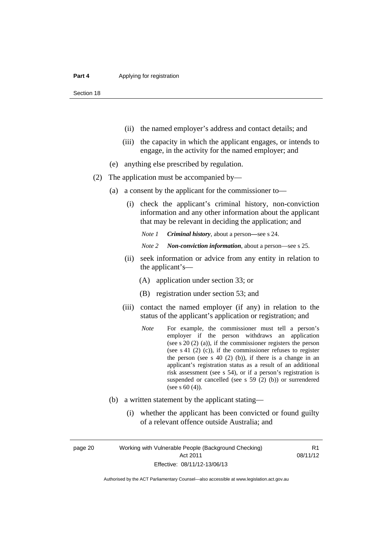Section 18

- (ii) the named employer's address and contact details; and
- (iii) the capacity in which the applicant engages, or intends to engage, in the activity for the named employer; and
- (e) anything else prescribed by regulation.
- (2) The application must be accompanied by—
	- (a) a consent by the applicant for the commissioner to—
		- (i) check the applicant's criminal history, non-conviction information and any other information about the applicant that may be relevant in deciding the application; and

*Note 1 Criminal history*, about a person*—*see s 24.

- *Note 2 Non-conviction information*, about a person—see s 25.
- (ii) seek information or advice from any entity in relation to the applicant's—
	- (A) application under section 33; or
	- (B) registration under section 53; and
- (iii) contact the named employer (if any) in relation to the status of the applicant's application or registration; and
	- *Note* For example, the commissioner must tell a person's employer if the person withdraws an application (see s 20 (2) (a)), if the commissioner registers the person (see s 41 (2) (c)), if the commissioner refuses to register the person (see s  $40$  (2) (b)), if there is a change in an applicant's registration status as a result of an additional risk assessment (see s 54), or if a person's registration is suspended or cancelled (see s 59 (2) (b)) or surrendered (see s 60 (4)).
- (b) a written statement by the applicant stating—
	- (i) whether the applicant has been convicted or found guilty of a relevant offence outside Australia; and

page 20 Working with Vulnerable People (Background Checking) Act 2011 Effective: 08/11/12-13/06/13

R1 08/11/12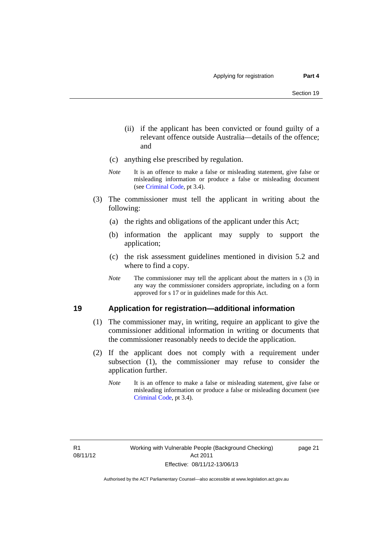- (ii) if the applicant has been convicted or found guilty of a relevant offence outside Australia—details of the offence; and
- (c) anything else prescribed by regulation.
- *Note* It is an offence to make a false or misleading statement, give false or misleading information or produce a false or misleading document (see [Criminal Code,](http://www.legislation.act.gov.au/a/2002-51/default.asp) pt 3.4).
- (3) The commissioner must tell the applicant in writing about the following:
	- (a) the rights and obligations of the applicant under this Act;
	- (b) information the applicant may supply to support the application;
	- (c) the risk assessment guidelines mentioned in division 5.2 and where to find a copy.
	- *Note* The commissioner may tell the applicant about the matters in s (3) in any way the commissioner considers appropriate, including on a form approved for s 17 or in guidelines made for this Act.

### <span id="page-28-0"></span>**19 Application for registration—additional information**

- (1) The commissioner may, in writing, require an applicant to give the commissioner additional information in writing or documents that the commissioner reasonably needs to decide the application.
- (2) If the applicant does not comply with a requirement under subsection (1), the commissioner may refuse to consider the application further.
	- *Note* It is an offence to make a false or misleading statement, give false or misleading information or produce a false or misleading document (see [Criminal Code](http://www.legislation.act.gov.au/a/2002-51/default.asp), pt 3.4).

page 21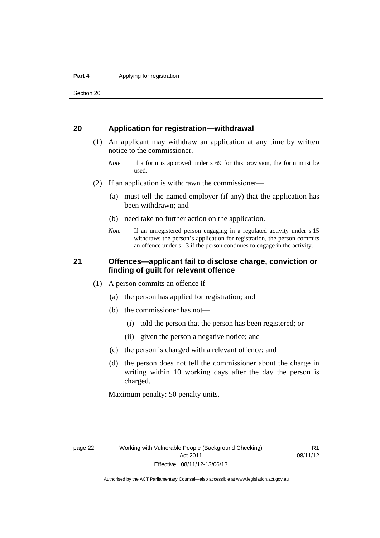Section 20

### <span id="page-29-0"></span>**20 Application for registration—withdrawal**

- (1) An applicant may withdraw an application at any time by written notice to the commissioner.
	- *Note* If a form is approved under s 69 for this provision, the form must be used.
- (2) If an application is withdrawn the commissioner—
	- (a) must tell the named employer (if any) that the application has been withdrawn; and
	- (b) need take no further action on the application.
	- *Note* If an unregistered person engaging in a regulated activity under s 15 withdraws the person's application for registration, the person commits an offence under s 13 if the person continues to engage in the activity.

# <span id="page-29-1"></span>**21 Offences—applicant fail to disclose charge, conviction or finding of guilt for relevant offence**

- (1) A person commits an offence if—
	- (a) the person has applied for registration; and
	- (b) the commissioner has not—
		- (i) told the person that the person has been registered; or
		- (ii) given the person a negative notice; and
	- (c) the person is charged with a relevant offence; and
	- (d) the person does not tell the commissioner about the charge in writing within 10 working days after the day the person is charged.

Maximum penalty: 50 penalty units.

R1 08/11/12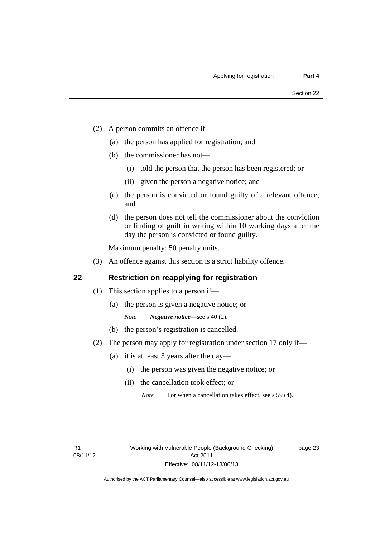- (2) A person commits an offence if—
	- (a) the person has applied for registration; and
	- (b) the commissioner has not—
		- (i) told the person that the person has been registered; or
		- (ii) given the person a negative notice; and
	- (c) the person is convicted or found guilty of a relevant offence; and
	- (d) the person does not tell the commissioner about the conviction or finding of guilt in writing within 10 working days after the day the person is convicted or found guilty.

Maximum penalty: 50 penalty units.

(3) An offence against this section is a strict liability offence.

# <span id="page-30-0"></span>**22 Restriction on reapplying for registration**

- (1) This section applies to a person if—
	- (a) the person is given a negative notice; or
		- *Note Negative notice*—see s 40 (2).
	- (b) the person's registration is cancelled.
- (2) The person may apply for registration under section 17 only if—
	- (a) it is at least 3 years after the day—
		- (i) the person was given the negative notice; or
		- (ii) the cancellation took effect; or

page 23

*Note* For when a cancellation takes effect, see s 59 (4).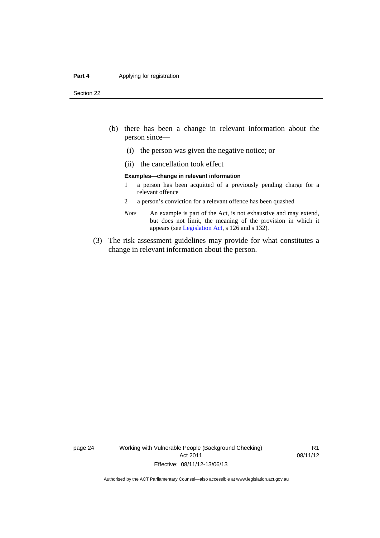#### **Part 4 Applying for registration**

Section 22

- (b) there has been a change in relevant information about the person since—
	- (i) the person was given the negative notice; or
	- (ii) the cancellation took effect

#### **Examples—change in relevant information**

- 1 a person has been acquitted of a previously pending charge for a relevant offence
- 2 a person's conviction for a relevant offence has been quashed
- *Note* An example is part of the Act, is not exhaustive and may extend, but does not limit, the meaning of the provision in which it appears (see [Legislation Act,](http://www.legislation.act.gov.au/a/2001-14) s 126 and s 132).
- (3) The risk assessment guidelines may provide for what constitutes a change in relevant information about the person.

page 24 Working with Vulnerable People (Background Checking) Act 2011 Effective: 08/11/12-13/06/13

R1 08/11/12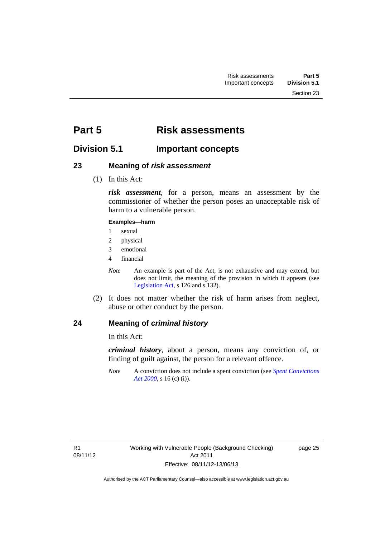# <span id="page-32-0"></span>**Part 5 Risk assessments**

# <span id="page-32-1"></span>**Division 5.1 Important concepts**

# <span id="page-32-2"></span>**23 Meaning of** *risk assessment*

(1) In this Act:

*risk assessment*, for a person, means an assessment by the commissioner of whether the person poses an unacceptable risk of harm to a vulnerable person.

#### **Examples—harm**

- 1 sexual
- 2 physical
- 3 emotional
- 4 financial

*Note* An example is part of the Act, is not exhaustive and may extend, but does not limit, the meaning of the provision in which it appears (see [Legislation Act,](http://www.legislation.act.gov.au/a/2001-14) s 126 and s 132).

 (2) It does not matter whether the risk of harm arises from neglect, abuse or other conduct by the person.

# <span id="page-32-3"></span>**24 Meaning of** *criminal history*

In this Act:

*criminal history*, about a person, means any conviction of, or finding of guilt against, the person for a relevant offence.

*Note* A conviction does not include a spent conviction (see *[Spent Convictions](http://www.legislation.act.gov.au/a/2000-48)  [Act 2000](http://www.legislation.act.gov.au/a/2000-48)*, s 16 (c) (i)).

page 25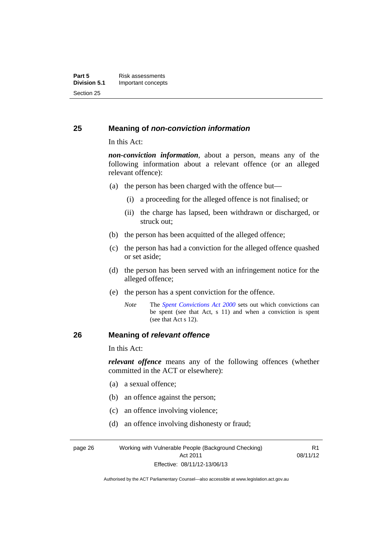### <span id="page-33-0"></span>**25 Meaning of** *non-conviction information*

In this Act:

*non-conviction information*, about a person, means any of the following information about a relevant offence (or an alleged relevant offence):

- (a) the person has been charged with the offence but—
	- (i) a proceeding for the alleged offence is not finalised; or
	- (ii) the charge has lapsed, been withdrawn or discharged, or struck out;
- (b) the person has been acquitted of the alleged offence;
- (c) the person has had a conviction for the alleged offence quashed or set aside;
- (d) the person has been served with an infringement notice for the alleged offence;
- (e) the person has a spent conviction for the offence.
	- *Note* The *[Spent Convictions Act 2000](http://www.legislation.act.gov.au/a/2000-48)* sets out which convictions can be spent (see that Act, s 11) and when a conviction is spent (see that Act s 12).

# <span id="page-33-1"></span>**26 Meaning of** *relevant offence*

In this Act:

*relevant offence* means any of the following offences (whether committed in the ACT or elsewhere):

- (a) a sexual offence;
- (b) an offence against the person;
- (c) an offence involving violence;
- (d) an offence involving dishonesty or fraud;

page 26 Working with Vulnerable People (Background Checking) Act 2011 Effective: 08/11/12-13/06/13

R1 08/11/12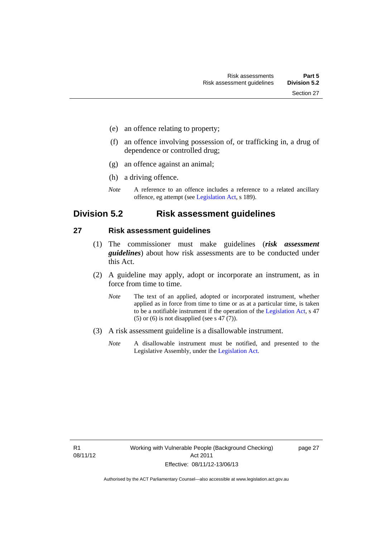- (e) an offence relating to property;
- (f) an offence involving possession of, or trafficking in, a drug of dependence or controlled drug;
- (g) an offence against an animal;
- (h) a driving offence.
- *Note* A reference to an offence includes a reference to a related ancillary offence, eg attempt (see [Legislation Act,](http://www.legislation.act.gov.au/a/2001-14) s 189).

# <span id="page-34-0"></span>**Division 5.2 Risk assessment guidelines**

#### <span id="page-34-1"></span>**27 Risk assessment guidelines**

- (1) The commissioner must make guidelines (*risk assessment guidelines*) about how risk assessments are to be conducted under this Act.
- (2) A guideline may apply, adopt or incorporate an instrument, as in force from time to time.
	- *Note* The text of an applied, adopted or incorporated instrument, whether applied as in force from time to time or as at a particular time, is taken to be a notifiable instrument if the operation of the [Legislation Act,](http://www.legislation.act.gov.au/a/2001-14) s 47 (5) or (6) is not disapplied (see s 47  $(7)$ ).
- (3) A risk assessment guideline is a disallowable instrument.
	- *Note* A disallowable instrument must be notified, and presented to the Legislative Assembly, under the [Legislation Act.](http://www.legislation.act.gov.au/a/2001-14)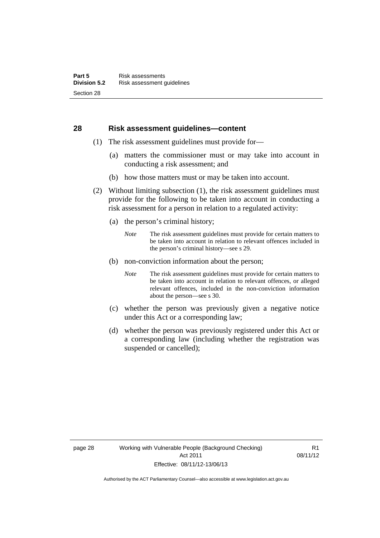#### <span id="page-35-0"></span>**28 Risk assessment guidelines—content**

- (1) The risk assessment guidelines must provide for—
	- (a) matters the commissioner must or may take into account in conducting a risk assessment; and
	- (b) how those matters must or may be taken into account.
- (2) Without limiting subsection (1), the risk assessment guidelines must provide for the following to be taken into account in conducting a risk assessment for a person in relation to a regulated activity:
	- (a) the person's criminal history;
		- *Note* The risk assessment guidelines must provide for certain matters to be taken into account in relation to relevant offences included in the person's criminal history—see s 29.
	- (b) non-conviction information about the person;
		- *Note* The risk assessment guidelines must provide for certain matters to be taken into account in relation to relevant offences, or alleged relevant offences, included in the non-conviction information about the person—see s 30.
	- (c) whether the person was previously given a negative notice under this Act or a corresponding law;
	- (d) whether the person was previously registered under this Act or a corresponding law (including whether the registration was suspended or cancelled);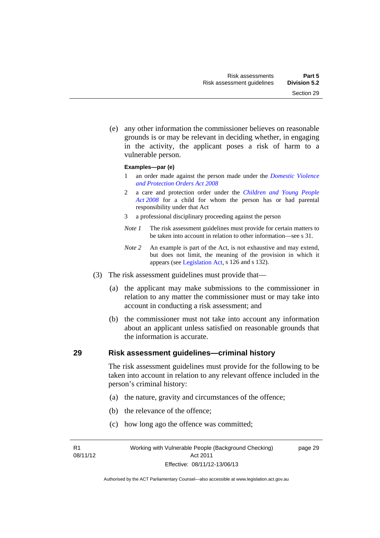Section 29

 (e) any other information the commissioner believes on reasonable grounds is or may be relevant in deciding whether, in engaging in the activity, the applicant poses a risk of harm to a

#### **Examples—par (e)**

vulnerable person.

- 1 an order made against the person made under the *[Domestic Violence](http://www.legislation.act.gov.au/a/2008-46)  [and Protection Orders Act 2008](http://www.legislation.act.gov.au/a/2008-46)*
- 2 a care and protection order under the *[Children and Young People](http://www.legislation.act.gov.au/a/2008-19)  [Act 2008](http://www.legislation.act.gov.au/a/2008-19)* for a child for whom the person has or had parental responsibility under that Act
- 3 a professional disciplinary proceeding against the person
- *Note 1* The risk assessment guidelines must provide for certain matters to be taken into account in relation to other information—see s 31.
- *Note 2* An example is part of the Act, is not exhaustive and may extend, but does not limit, the meaning of the provision in which it appears (see [Legislation Act,](http://www.legislation.act.gov.au/a/2001-14) s 126 and s 132).
- (3) The risk assessment guidelines must provide that—
	- (a) the applicant may make submissions to the commissioner in relation to any matter the commissioner must or may take into account in conducting a risk assessment; and
	- (b) the commissioner must not take into account any information about an applicant unless satisfied on reasonable grounds that the information is accurate.

#### **29 Risk assessment guidelines—criminal history**

The risk assessment guidelines must provide for the following to be taken into account in relation to any relevant offence included in the person's criminal history:

- (a) the nature, gravity and circumstances of the offence;
- (b) the relevance of the offence;
- (c) how long ago the offence was committed;

R1 08/11/12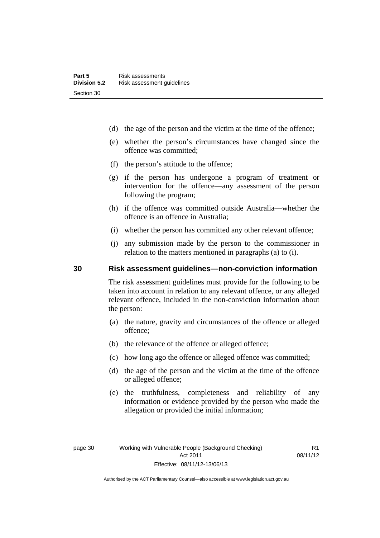- (d) the age of the person and the victim at the time of the offence;
- (e) whether the person's circumstances have changed since the offence was committed;
- (f) the person's attitude to the offence;
- (g) if the person has undergone a program of treatment or intervention for the offence—any assessment of the person following the program;
- (h) if the offence was committed outside Australia—whether the offence is an offence in Australia;
- (i) whether the person has committed any other relevant offence;
- (j) any submission made by the person to the commissioner in relation to the matters mentioned in paragraphs (a) to (i).

#### **30 Risk assessment guidelines—non-conviction information**

The risk assessment guidelines must provide for the following to be taken into account in relation to any relevant offence, or any alleged relevant offence, included in the non-conviction information about the person:

- (a) the nature, gravity and circumstances of the offence or alleged offence;
- (b) the relevance of the offence or alleged offence;
- (c) how long ago the offence or alleged offence was committed;
- (d) the age of the person and the victim at the time of the offence or alleged offence;
- (e) the truthfulness, completeness and reliability of any information or evidence provided by the person who made the allegation or provided the initial information;

R1 08/11/12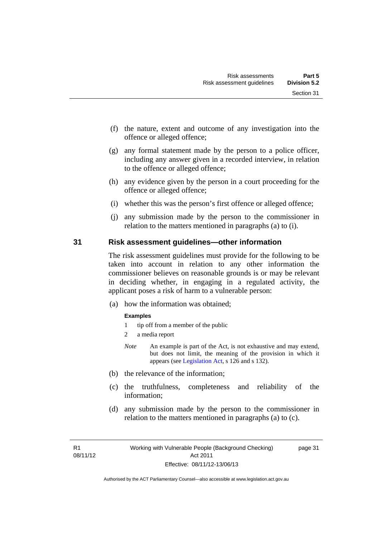- (f) the nature, extent and outcome of any investigation into the offence or alleged offence;
- (g) any formal statement made by the person to a police officer, including any answer given in a recorded interview, in relation to the offence or alleged offence;
- (h) any evidence given by the person in a court proceeding for the offence or alleged offence;
- (i) whether this was the person's first offence or alleged offence;
- (j) any submission made by the person to the commissioner in relation to the matters mentioned in paragraphs (a) to (i).

#### **31 Risk assessment guidelines—other information**

The risk assessment guidelines must provide for the following to be taken into account in relation to any other information the commissioner believes on reasonable grounds is or may be relevant in deciding whether, in engaging in a regulated activity, the applicant poses a risk of harm to a vulnerable person:

(a) how the information was obtained;

#### **Examples**

- 1 tip off from a member of the public
- 2 a media report
- *Note* An example is part of the Act, is not exhaustive and may extend, but does not limit, the meaning of the provision in which it appears (see [Legislation Act,](http://www.legislation.act.gov.au/a/2001-14) s 126 and s 132).
- (b) the relevance of the information;
- (c) the truthfulness, completeness and reliability of the information;
- (d) any submission made by the person to the commissioner in relation to the matters mentioned in paragraphs (a) to (c).

R1 08/11/12 page 31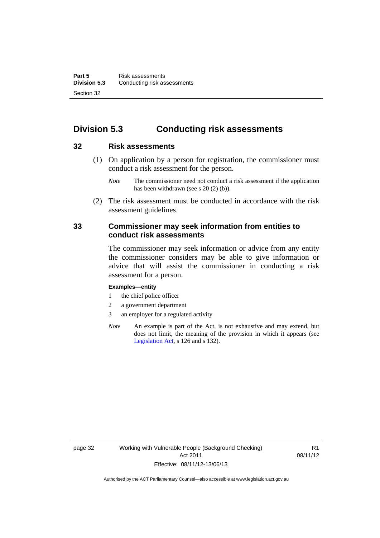# **Division 5.3 Conducting risk assessments**

#### **32 Risk assessments**

 (1) On application by a person for registration, the commissioner must conduct a risk assessment for the person.

 (2) The risk assessment must be conducted in accordance with the risk assessment guidelines.

#### **33 Commissioner may seek information from entities to conduct risk assessments**

The commissioner may seek information or advice from any entity the commissioner considers may be able to give information or advice that will assist the commissioner in conducting a risk assessment for a person.

#### **Examples—entity**

- 1 the chief police officer
- 2 a government department
- 3 an employer for a regulated activity
- *Note* An example is part of the Act, is not exhaustive and may extend, but does not limit, the meaning of the provision in which it appears (see [Legislation Act,](http://www.legislation.act.gov.au/a/2001-14) s 126 and s 132).

*Note* The commissioner need not conduct a risk assessment if the application has been withdrawn (see s 20 (2) (b)).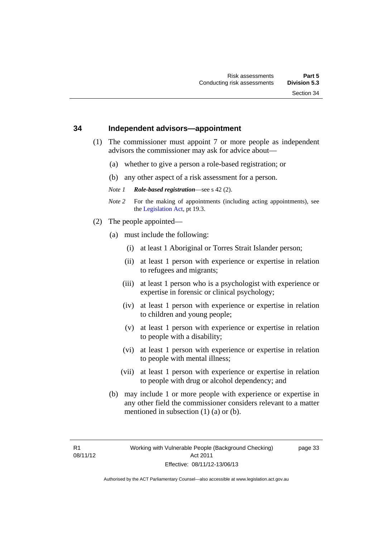#### **34 Independent advisors—appointment**

- (1) The commissioner must appoint 7 or more people as independent advisors the commissioner may ask for advice about—
	- (a) whether to give a person a role-based registration; or
	- (b) any other aspect of a risk assessment for a person.
	- *Note 1 Role-based registration*—see s 42 (2).
	- *Note 2* For the making of appointments (including acting appointments), see the [Legislation Act,](http://www.legislation.act.gov.au/a/2001-14) pt 19.3.
- (2) The people appointed—
	- (a) must include the following:
		- (i) at least 1 Aboriginal or Torres Strait Islander person;
		- (ii) at least 1 person with experience or expertise in relation to refugees and migrants;
		- (iii) at least 1 person who is a psychologist with experience or expertise in forensic or clinical psychology;
		- (iv) at least 1 person with experience or expertise in relation to children and young people;
		- (v) at least 1 person with experience or expertise in relation to people with a disability;
		- (vi) at least 1 person with experience or expertise in relation to people with mental illness;
		- (vii) at least 1 person with experience or expertise in relation to people with drug or alcohol dependency; and
	- (b) may include 1 or more people with experience or expertise in any other field the commissioner considers relevant to a matter mentioned in subsection (1) (a) or (b).

page 33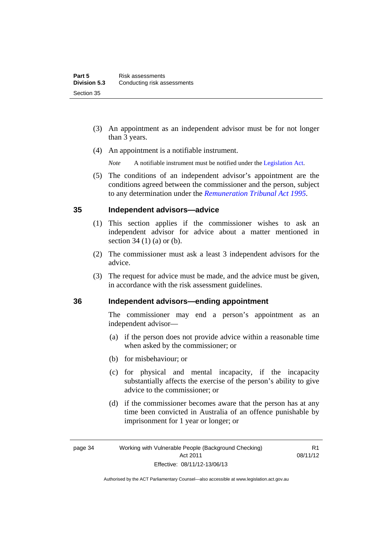- (3) An appointment as an independent advisor must be for not longer than 3 years.
- (4) An appointment is a notifiable instrument.
	- *Note* A notifiable instrument must be notified under the [Legislation Act](http://www.legislation.act.gov.au/a/2001-14).
- (5) The conditions of an independent advisor's appointment are the conditions agreed between the commissioner and the person, subject to any determination under the *[Remuneration Tribunal Act 1995](http://www.legislation.act.gov.au/a/1995-55)*.

## **35 Independent advisors—advice**

- (1) This section applies if the commissioner wishes to ask an independent advisor for advice about a matter mentioned in section 34 (1) (a) or (b).
- (2) The commissioner must ask a least 3 independent advisors for the advice.
- (3) The request for advice must be made, and the advice must be given, in accordance with the risk assessment guidelines.

## **36 Independent advisors—ending appointment**

The commissioner may end a person's appointment as an independent advisor—

- (a) if the person does not provide advice within a reasonable time when asked by the commissioner; or
- (b) for misbehaviour; or
- (c) for physical and mental incapacity, if the incapacity substantially affects the exercise of the person's ability to give advice to the commissioner; or
- (d) if the commissioner becomes aware that the person has at any time been convicted in Australia of an offence punishable by imprisonment for 1 year or longer; or

R1 08/11/12

Authorised by the ACT Parliamentary Counsel—also accessible at www.legislation.act.gov.au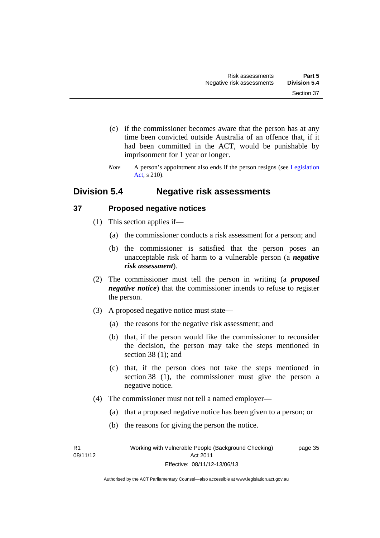- (e) if the commissioner becomes aware that the person has at any time been convicted outside Australia of an offence that, if it had been committed in the ACT, would be punishable by imprisonment for 1 year or longer.
- *Note* A person's appointment also ends if the person resigns (see Legislation [Act](http://www.legislation.act.gov.au/a/2001-14), s 210).

# **Division 5.4 Negative risk assessments**

## **37 Proposed negative notices**

- (1) This section applies if—
	- (a) the commissioner conducts a risk assessment for a person; and
	- (b) the commissioner is satisfied that the person poses an unacceptable risk of harm to a vulnerable person (a *negative risk assessment*).
- (2) The commissioner must tell the person in writing (a *proposed negative notice*) that the commissioner intends to refuse to register the person.
- (3) A proposed negative notice must state—
	- (a) the reasons for the negative risk assessment; and
	- (b) that, if the person would like the commissioner to reconsider the decision, the person may take the steps mentioned in section 38 (1); and
	- (c) that, if the person does not take the steps mentioned in section 38 (1), the commissioner must give the person a negative notice.
- (4) The commissioner must not tell a named employer—
	- (a) that a proposed negative notice has been given to a person; or
	- (b) the reasons for giving the person the notice.

R1 08/11/12 page 35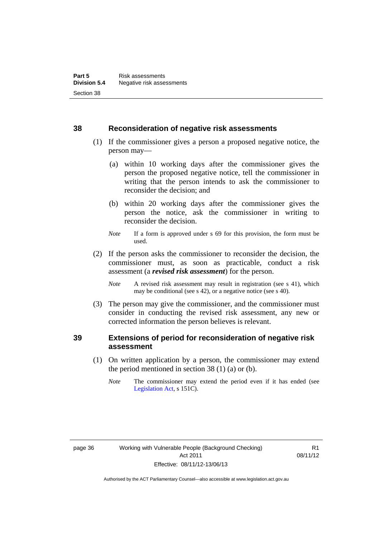#### **38 Reconsideration of negative risk assessments**

- (1) If the commissioner gives a person a proposed negative notice, the person may—
	- (a) within 10 working days after the commissioner gives the person the proposed negative notice, tell the commissioner in writing that the person intends to ask the commissioner to reconsider the decision; and
	- (b) within 20 working days after the commissioner gives the person the notice, ask the commissioner in writing to reconsider the decision.
	- *Note* If a form is approved under s 69 for this provision, the form must be used.
- (2) If the person asks the commissioner to reconsider the decision, the commissioner must, as soon as practicable, conduct a risk assessment (a *revised risk assessment*) for the person.
	- *Note* A revised risk assessment may result in registration (see s 41), which may be conditional (see s 42), or a negative notice (see s 40).
- (3) The person may give the commissioner, and the commissioner must consider in conducting the revised risk assessment, any new or corrected information the person believes is relevant.

## **39 Extensions of period for reconsideration of negative risk assessment**

- (1) On written application by a person, the commissioner may extend the period mentioned in section  $38(1)(a)$  or (b).
	- *Note* The commissioner may extend the period even if it has ended (see [Legislation Act,](http://www.legislation.act.gov.au/a/2001-14) s 151C).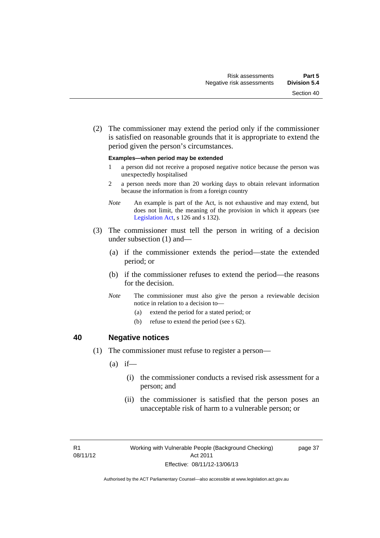(2) The commissioner may extend the period only if the commissioner is satisfied on reasonable grounds that it is appropriate to extend the period given the person's circumstances.

#### **Examples—when period may be extended**

- 1 a person did not receive a proposed negative notice because the person was unexpectedly hospitalised
- 2 a person needs more than 20 working days to obtain relevant information because the information is from a foreign country
- *Note* An example is part of the Act, is not exhaustive and may extend, but does not limit, the meaning of the provision in which it appears (see [Legislation Act,](http://www.legislation.act.gov.au/a/2001-14) s 126 and s 132).
- (3) The commissioner must tell the person in writing of a decision under subsection (1) and—
	- (a) if the commissioner extends the period—state the extended period; or
	- (b) if the commissioner refuses to extend the period—the reasons for the decision.
	- *Note* The commissioner must also give the person a reviewable decision notice in relation to a decision to—
		- (a) extend the period for a stated period; or
		- (b) refuse to extend the period (see s 62).

#### **40 Negative notices**

- (1) The commissioner must refuse to register a person—
	- $(a)$  if—
		- (i) the commissioner conducts a revised risk assessment for a person; and
		- (ii) the commissioner is satisfied that the person poses an unacceptable risk of harm to a vulnerable person; or

page 37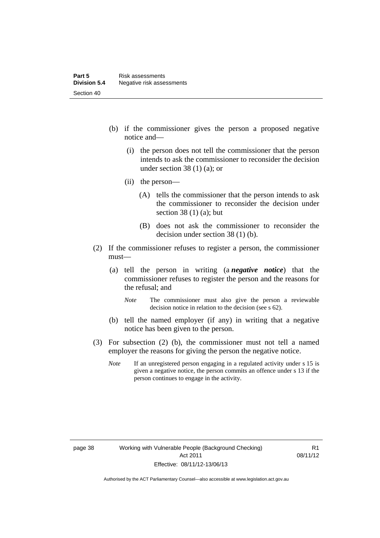- (b) if the commissioner gives the person a proposed negative notice and—
	- (i) the person does not tell the commissioner that the person intends to ask the commissioner to reconsider the decision under section 38 (1) (a); or
	- (ii) the person—
		- (A) tells the commissioner that the person intends to ask the commissioner to reconsider the decision under section 38 $(1)$  $(a)$ ; but
		- (B) does not ask the commissioner to reconsider the decision under section 38 (1) (b).
- (2) If the commissioner refuses to register a person, the commissioner must—
	- (a) tell the person in writing (a *negative notice*) that the commissioner refuses to register the person and the reasons for the refusal; and
		- *Note* The commissioner must also give the person a reviewable decision notice in relation to the decision (see s 62).
	- (b) tell the named employer (if any) in writing that a negative notice has been given to the person.
- (3) For subsection (2) (b), the commissioner must not tell a named employer the reasons for giving the person the negative notice.
	- *Note* If an unregistered person engaging in a regulated activity under s 15 is given a negative notice, the person commits an offence under s 13 if the person continues to engage in the activity.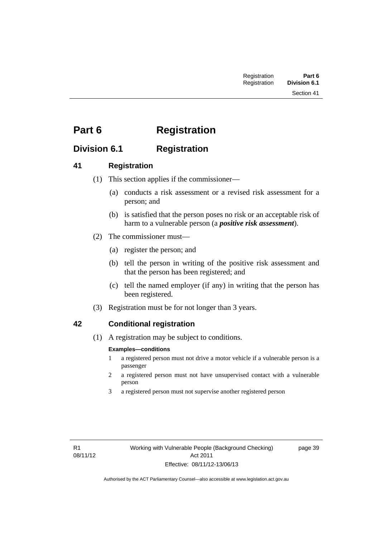# **Part 6 Registration**

# **Division 6.1 Registration**

# **41 Registration**

- (1) This section applies if the commissioner—
	- (a) conducts a risk assessment or a revised risk assessment for a person; and
	- (b) is satisfied that the person poses no risk or an acceptable risk of harm to a vulnerable person (a *positive risk assessment*).
- (2) The commissioner must—
	- (a) register the person; and
	- (b) tell the person in writing of the positive risk assessment and that the person has been registered; and
	- (c) tell the named employer (if any) in writing that the person has been registered.
- (3) Registration must be for not longer than 3 years.

# **42 Conditional registration**

(1) A registration may be subject to conditions.

#### **Examples—conditions**

- 1 a registered person must not drive a motor vehicle if a vulnerable person is a passenger
- 2 a registered person must not have unsupervised contact with a vulnerable person
- 3 a registered person must not supervise another registered person

page 39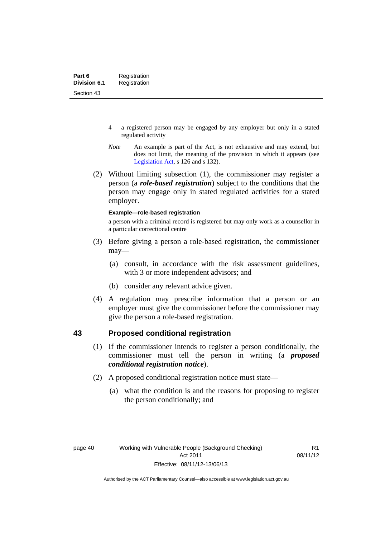- 4 a registered person may be engaged by any employer but only in a stated regulated activity
- *Note* An example is part of the Act, is not exhaustive and may extend, but does not limit, the meaning of the provision in which it appears (see [Legislation Act,](http://www.legislation.act.gov.au/a/2001-14) s 126 and s 132).
- (2) Without limiting subsection (1), the commissioner may register a person (a *role-based registration*) subject to the conditions that the person may engage only in stated regulated activities for a stated employer.

#### **Example—role-based registration**

a person with a criminal record is registered but may only work as a counsellor in a particular correctional centre

- (3) Before giving a person a role-based registration, the commissioner may—
	- (a) consult, in accordance with the risk assessment guidelines, with 3 or more independent advisors; and
	- (b) consider any relevant advice given.
- (4) A regulation may prescribe information that a person or an employer must give the commissioner before the commissioner may give the person a role-based registration.

## **43 Proposed conditional registration**

- (1) If the commissioner intends to register a person conditionally, the commissioner must tell the person in writing (a *proposed conditional registration notice*).
- (2) A proposed conditional registration notice must state—
	- (a) what the condition is and the reasons for proposing to register the person conditionally; and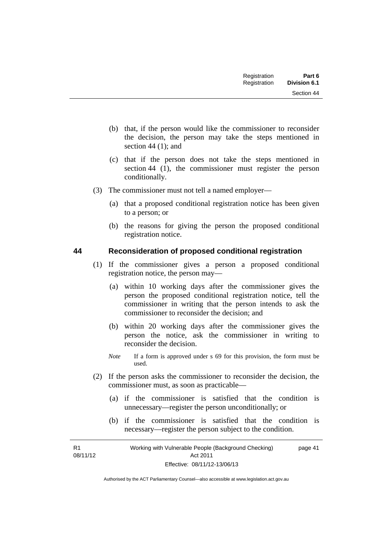| Registration | Part 6              |
|--------------|---------------------|
| Registration | <b>Division 6.1</b> |

- (b) that, if the person would like the commissioner to reconsider the decision, the person may take the steps mentioned in section 44 (1); and
- (c) that if the person does not take the steps mentioned in section 44 (1), the commissioner must register the person conditionally.
- (3) The commissioner must not tell a named employer—
	- (a) that a proposed conditional registration notice has been given to a person; or
	- (b) the reasons for giving the person the proposed conditional registration notice.

## **44 Reconsideration of proposed conditional registration**

- (1) If the commissioner gives a person a proposed conditional registration notice, the person may—
	- (a) within 10 working days after the commissioner gives the person the proposed conditional registration notice, tell the commissioner in writing that the person intends to ask the commissioner to reconsider the decision; and
	- (b) within 20 working days after the commissioner gives the person the notice, ask the commissioner in writing to reconsider the decision.
	- *Note* If a form is approved under s 69 for this provision, the form must be used.
- (2) If the person asks the commissioner to reconsider the decision, the commissioner must, as soon as practicable—
	- (a) if the commissioner is satisfied that the condition is unnecessary—register the person unconditionally; or
	- (b) if the commissioner is satisfied that the condition is necessary—register the person subject to the condition.

R1 08/11/12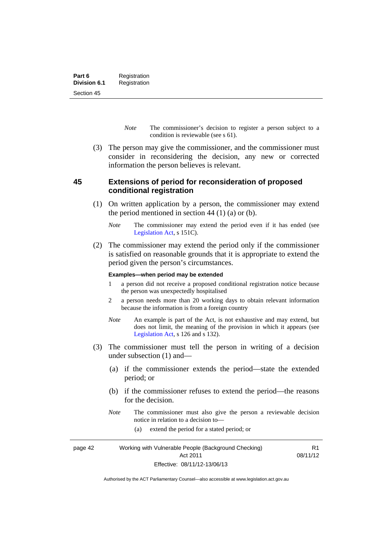- *Note* The commissioner's decision to register a person subject to a condition is reviewable (see s 61).
- (3) The person may give the commissioner, and the commissioner must consider in reconsidering the decision, any new or corrected information the person believes is relevant.

## **45 Extensions of period for reconsideration of proposed conditional registration**

- (1) On written application by a person, the commissioner may extend the period mentioned in section  $44$  (1) (a) or (b).
	- *Note* The commissioner may extend the period even if it has ended (see [Legislation Act,](http://www.legislation.act.gov.au/a/2001-14) s 151C).
- (2) The commissioner may extend the period only if the commissioner is satisfied on reasonable grounds that it is appropriate to extend the period given the person's circumstances.

#### **Examples—when period may be extended**

- 1 a person did not receive a proposed conditional registration notice because the person was unexpectedly hospitalised
- 2 a person needs more than 20 working days to obtain relevant information because the information is from a foreign country
- *Note* An example is part of the Act, is not exhaustive and may extend, but does not limit, the meaning of the provision in which it appears (see [Legislation Act,](http://www.legislation.act.gov.au/a/2001-14) s 126 and s 132).
- (3) The commissioner must tell the person in writing of a decision under subsection (1) and—
	- (a) if the commissioner extends the period—state the extended period; or
	- (b) if the commissioner refuses to extend the period—the reasons for the decision.
	- *Note* The commissioner must also give the person a reviewable decision notice in relation to a decision to—

R1

(a) extend the period for a stated period; or

page 42 Working with Vulnerable People (Background Checking) Act 2011 Effective: 08/11/12-13/06/13 08/11/12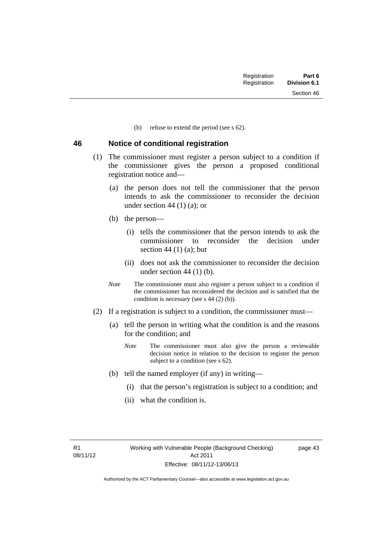Section 46

(b) refuse to extend the period (see s 62).

#### **46 Notice of conditional registration**

- (1) The commissioner must register a person subject to a condition if the commissioner gives the person a proposed conditional registration notice and—
	- (a) the person does not tell the commissioner that the person intends to ask the commissioner to reconsider the decision under section 44  $(1)$  (a); or
	- (b) the person—
		- (i) tells the commissioner that the person intends to ask the commissioner to reconsider the decision under section  $44(1)(a)$ ; but
		- (ii) does not ask the commissioner to reconsider the decision under section  $44$  (1) (b).
	- *Note* The commissioner must also register a person subject to a condition if the commissioner has reconsidered the decision and is satisfied that the condition is necessary (see s 44 (2) (b)).
- (2) If a registration is subject to a condition, the commissioner must—
	- (a) tell the person in writing what the condition is and the reasons for the condition; and
		- *Note* The commissioner must also give the person a reviewable decision notice in relation to the decision to register the person subject to a condition (see s 62).
	- (b) tell the named employer (if any) in writing—
		- (i) that the person's registration is subject to a condition; and
		- (ii) what the condition is.

R1 08/11/12 page 43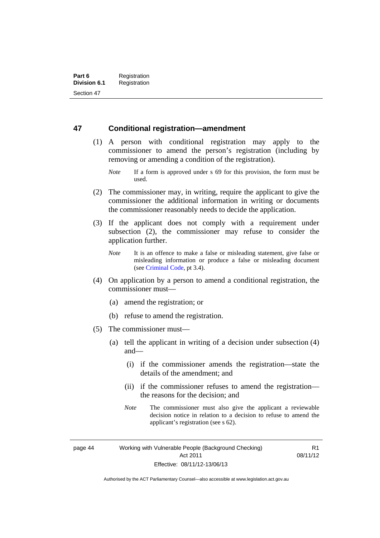## **47 Conditional registration—amendment**

- (1) A person with conditional registration may apply to the commissioner to amend the person's registration (including by removing or amending a condition of the registration).
	- *Note* If a form is approved under s 69 for this provision, the form must be used.
- (2) The commissioner may, in writing, require the applicant to give the commissioner the additional information in writing or documents the commissioner reasonably needs to decide the application.
- (3) If the applicant does not comply with a requirement under subsection (2), the commissioner may refuse to consider the application further.
	- *Note* It is an offence to make a false or misleading statement, give false or misleading information or produce a false or misleading document (see [Criminal Code,](http://www.legislation.act.gov.au/a/2002-51/default.asp) pt 3.4).
- (4) On application by a person to amend a conditional registration, the commissioner must—
	- (a) amend the registration; or
	- (b) refuse to amend the registration.
- (5) The commissioner must—
	- (a) tell the applicant in writing of a decision under subsection (4) and—
		- (i) if the commissioner amends the registration—state the details of the amendment; and
		- (ii) if the commissioner refuses to amend the registration the reasons for the decision; and
		- *Note* The commissioner must also give the applicant a reviewable decision notice in relation to a decision to refuse to amend the applicant's registration (see s 62).

page 44 Working with Vulnerable People (Background Checking) Act 2011 Effective: 08/11/12-13/06/13

R1 08/11/12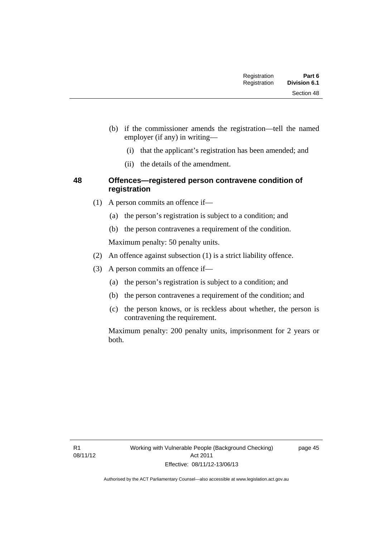Section 48

- (i) that the applicant's registration has been amended; and
- (ii) the details of the amendment.

## **48 Offences—registered person contravene condition of registration**

- (1) A person commits an offence if—
	- (a) the person's registration is subject to a condition; and
	- (b) the person contravenes a requirement of the condition.

Maximum penalty: 50 penalty units.

- (2) An offence against subsection (1) is a strict liability offence.
- (3) A person commits an offence if—
	- (a) the person's registration is subject to a condition; and
	- (b) the person contravenes a requirement of the condition; and
	- (c) the person knows, or is reckless about whether, the person is contravening the requirement.

Maximum penalty: 200 penalty units, imprisonment for 2 years or both.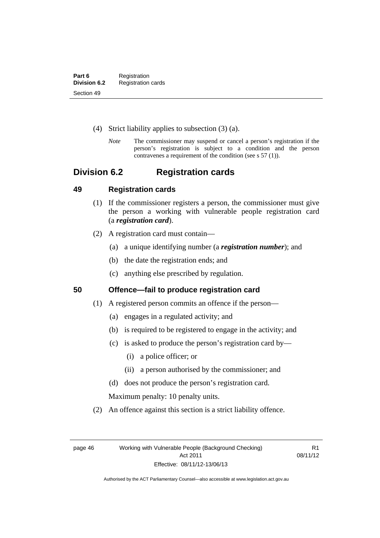- (4) Strict liability applies to subsection (3) (a).
	- *Note* The commissioner may suspend or cancel a person's registration if the person's registration is subject to a condition and the person contravenes a requirement of the condition (see s 57 (1)).

# **Division 6.2 Registration cards**

## **49 Registration cards**

- (1) If the commissioner registers a person, the commissioner must give the person a working with vulnerable people registration card (a *registration card*).
- (2) A registration card must contain—
	- (a) a unique identifying number (a *registration number*); and
	- (b) the date the registration ends; and
	- (c) anything else prescribed by regulation.

**50 Offence—fail to produce registration card** 

- (1) A registered person commits an offence if the person—
	- (a) engages in a regulated activity; and
	- (b) is required to be registered to engage in the activity; and
	- (c) is asked to produce the person's registration card by—
		- (i) a police officer; or
		- (ii) a person authorised by the commissioner; and
	- (d) does not produce the person's registration card.

Maximum penalty: 10 penalty units.

(2) An offence against this section is a strict liability offence.

R1 08/11/12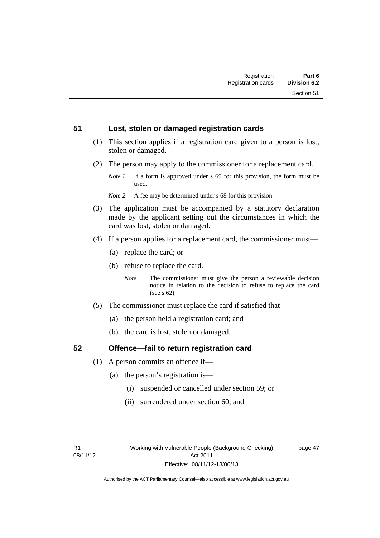#### **51 Lost, stolen or damaged registration cards**

- (1) This section applies if a registration card given to a person is lost, stolen or damaged.
- (2) The person may apply to the commissioner for a replacement card.
	- *Note 1* If a form is approved under s 69 for this provision, the form must be used.
	- *Note 2* A fee may be determined under s 68 for this provision.
- (3) The application must be accompanied by a statutory declaration made by the applicant setting out the circumstances in which the card was lost, stolen or damaged.
- (4) If a person applies for a replacement card, the commissioner must—
	- (a) replace the card; or
	- (b) refuse to replace the card.
		- *Note* The commissioner must give the person a reviewable decision notice in relation to the decision to refuse to replace the card (see s 62).
- (5) The commissioner must replace the card if satisfied that—
	- (a) the person held a registration card; and
	- (b) the card is lost, stolen or damaged.

## **52 Offence—fail to return registration card**

- (1) A person commits an offence if—
	- (a) the person's registration is—
		- (i) suspended or cancelled under section 59; or
		- (ii) surrendered under section 60; and

page 47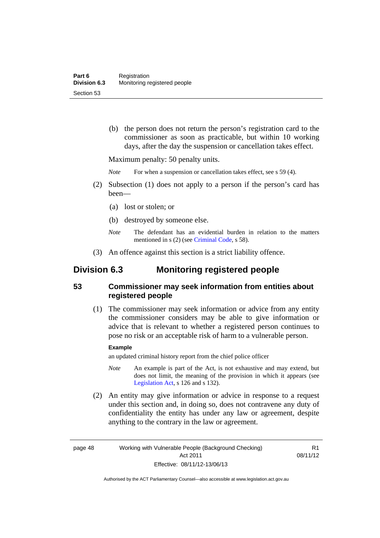(b) the person does not return the person's registration card to the commissioner as soon as practicable, but within 10 working days, after the day the suspension or cancellation takes effect.

Maximum penalty: 50 penalty units.

*Note* For when a suspension or cancellation takes effect, see s 59 (4).

- (2) Subsection (1) does not apply to a person if the person's card has been—
	- (a) lost or stolen; or
	- (b) destroyed by someone else.
	- *Note* The defendant has an evidential burden in relation to the matters mentioned in s (2) (see [Criminal Code](http://www.legislation.act.gov.au/a/2002-51/default.asp), s 58).
- (3) An offence against this section is a strict liability offence.

# **Division 6.3 Monitoring registered people**

# **53 Commissioner may seek information from entities about registered people**

 (1) The commissioner may seek information or advice from any entity the commissioner considers may be able to give information or advice that is relevant to whether a registered person continues to pose no risk or an acceptable risk of harm to a vulnerable person.

#### **Example**

an updated criminal history report from the chief police officer

- *Note* An example is part of the Act, is not exhaustive and may extend, but does not limit, the meaning of the provision in which it appears (see [Legislation Act,](http://www.legislation.act.gov.au/a/2001-14) s 126 and s 132).
- (2) An entity may give information or advice in response to a request under this section and, in doing so, does not contravene any duty of confidentiality the entity has under any law or agreement, despite anything to the contrary in the law or agreement.

R1 08/11/12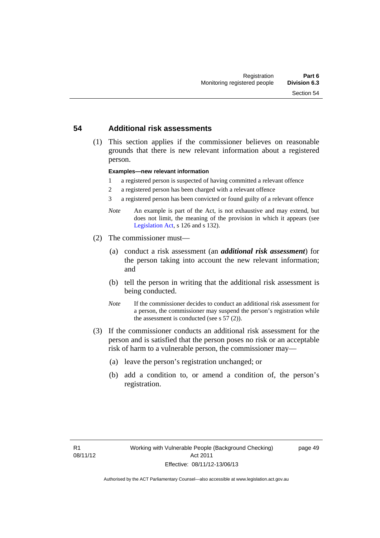#### **54 Additional risk assessments**

 (1) This section applies if the commissioner believes on reasonable grounds that there is new relevant information about a registered person.

#### **Examples—new relevant information**

- 1 a registered person is suspected of having committed a relevant offence
- 2 a registered person has been charged with a relevant offence
- 3 a registered person has been convicted or found guilty of a relevant offence
- *Note* An example is part of the Act, is not exhaustive and may extend, but does not limit, the meaning of the provision in which it appears (see [Legislation Act,](http://www.legislation.act.gov.au/a/2001-14) s 126 and s 132).
- (2) The commissioner must—
	- (a) conduct a risk assessment (an *additional risk assessment*) for the person taking into account the new relevant information; and
	- (b) tell the person in writing that the additional risk assessment is being conducted.
	- *Note* If the commissioner decides to conduct an additional risk assessment for a person, the commissioner may suspend the person's registration while the assessment is conducted (see s 57 (2)).
- (3) If the commissioner conducts an additional risk assessment for the person and is satisfied that the person poses no risk or an acceptable risk of harm to a vulnerable person, the commissioner may—
	- (a) leave the person's registration unchanged; or
	- (b) add a condition to, or amend a condition of, the person's registration.

page 49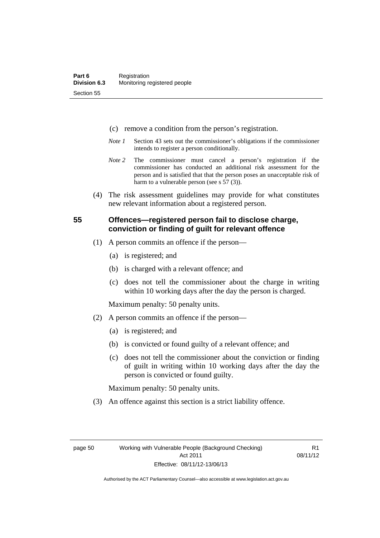- (c) remove a condition from the person's registration.
- *Note 1* Section 43 sets out the commissioner's obligations if the commissioner intends to register a person conditionally.
- *Note 2* The commissioner must cancel a person's registration if the commissioner has conducted an additional risk assessment for the person and is satisfied that that the person poses an unacceptable risk of harm to a vulnerable person (see s 57 (3)).
- (4) The risk assessment guidelines may provide for what constitutes new relevant information about a registered person.

## **55 Offences—registered person fail to disclose charge, conviction or finding of guilt for relevant offence**

- (1) A person commits an offence if the person—
	- (a) is registered; and
	- (b) is charged with a relevant offence; and
	- (c) does not tell the commissioner about the charge in writing within 10 working days after the day the person is charged.

Maximum penalty: 50 penalty units.

- (2) A person commits an offence if the person—
	- (a) is registered; and
	- (b) is convicted or found guilty of a relevant offence; and
	- (c) does not tell the commissioner about the conviction or finding of guilt in writing within 10 working days after the day the person is convicted or found guilty.

Maximum penalty: 50 penalty units.

(3) An offence against this section is a strict liability offence.

R1 08/11/12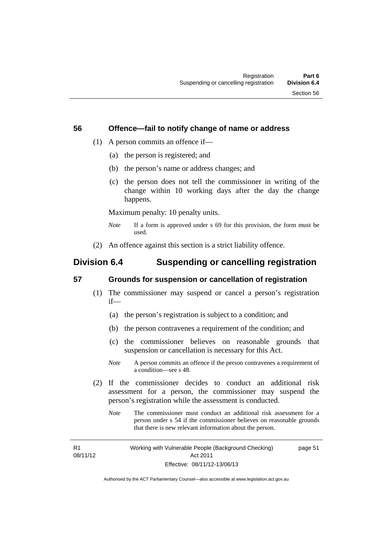#### **56 Offence—fail to notify change of name or address**

- (1) A person commits an offence if—
	- (a) the person is registered; and
	- (b) the person's name or address changes; and
	- (c) the person does not tell the commissioner in writing of the change within 10 working days after the day the change happens.

Maximum penalty: 10 penalty units.

- *Note* If a form is approved under s 69 for this provision, the form must be used.
- (2) An offence against this section is a strict liability offence.

# **Division 6.4 Suspending or cancelling registration**

## **57 Grounds for suspension or cancellation of registration**

- (1) The commissioner may suspend or cancel a person's registration if—
	- (a) the person's registration is subject to a condition; and
	- (b) the person contravenes a requirement of the condition; and
	- (c) the commissioner believes on reasonable grounds that suspension or cancellation is necessary for this Act.
	- *Note* A person commits an offence if the person contravenes a requirement of a condition—see s 48.
- (2) If the commissioner decides to conduct an additional risk assessment for a person, the commissioner may suspend the person's registration while the assessment is conducted.
	- *Note* The commissioner must conduct an additional risk assessment for a person under s 54 if the commissioner believes on reasonable grounds that there is new relevant information about the person.

R1 08/11/12 Working with Vulnerable People (Background Checking) Act 2011 Effective: 08/11/12-13/06/13 page 51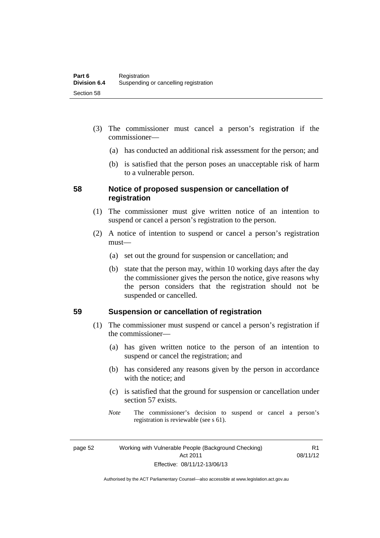- (3) The commissioner must cancel a person's registration if the commissioner—
	- (a) has conducted an additional risk assessment for the person; and
	- (b) is satisfied that the person poses an unacceptable risk of harm to a vulnerable person.

## **58 Notice of proposed suspension or cancellation of registration**

- (1) The commissioner must give written notice of an intention to suspend or cancel a person's registration to the person.
- (2) A notice of intention to suspend or cancel a person's registration must—
	- (a) set out the ground for suspension or cancellation; and
	- (b) state that the person may, within 10 working days after the day the commissioner gives the person the notice, give reasons why the person considers that the registration should not be suspended or cancelled.

## **59 Suspension or cancellation of registration**

- (1) The commissioner must suspend or cancel a person's registration if the commissioner—
	- (a) has given written notice to the person of an intention to suspend or cancel the registration; and
	- (b) has considered any reasons given by the person in accordance with the notice; and
	- (c) is satisfied that the ground for suspension or cancellation under section 57 exists.
	- *Note* The commissioner's decision to suspend or cancel a person's registration is reviewable (see s 61).

page 52 Working with Vulnerable People (Background Checking) Act 2011 Effective: 08/11/12-13/06/13

R1 08/11/12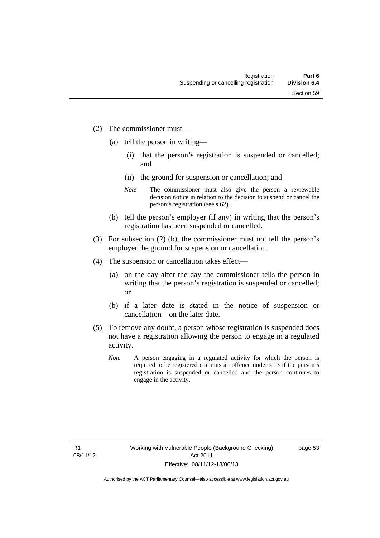- (2) The commissioner must—
	- (a) tell the person in writing—
		- (i) that the person's registration is suspended or cancelled; and
		- (ii) the ground for suspension or cancellation; and
		- *Note* The commissioner must also give the person a reviewable decision notice in relation to the decision to suspend or cancel the person's registration (see s 62).
	- (b) tell the person's employer (if any) in writing that the person's registration has been suspended or cancelled.
- (3) For subsection (2) (b), the commissioner must not tell the person's employer the ground for suspension or cancellation.
- (4) The suspension or cancellation takes effect—
	- (a) on the day after the day the commissioner tells the person in writing that the person's registration is suspended or cancelled; or
	- (b) if a later date is stated in the notice of suspension or cancellation—on the later date.
- (5) To remove any doubt, a person whose registration is suspended does not have a registration allowing the person to engage in a regulated activity.
	- *Note* A person engaging in a regulated activity for which the person is required to be registered commits an offence under s 13 if the person's registration is suspended or cancelled and the person continues to engage in the activity.

page 53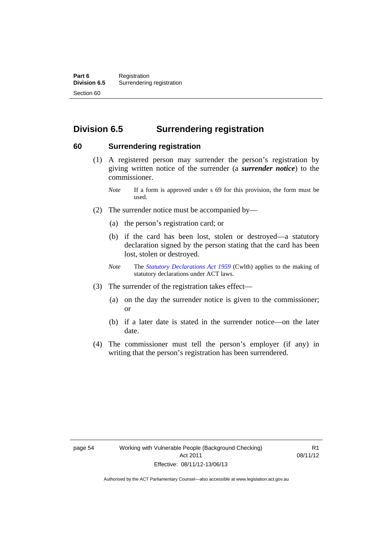# **Division 6.5 Surrendering registration**

#### **60 Surrendering registration**

- (1) A registered person may surrender the person's registration by giving written notice of the surrender (a *surrender notice*) to the commissioner.
	- *Note* If a form is approved under s 69 for this provision, the form must be used.
- (2) The surrender notice must be accompanied by—
	- (a) the person's registration card; or
	- (b) if the card has been lost, stolen or destroyed—a statutory declaration signed by the person stating that the card has been lost, stolen or destroyed.
	- *Note* The *[Statutory Declarations Act 1959](http://www.comlaw.gov.au/Series/C2004A07365)* (Cwlth) applies to the making of statutory declarations under ACT laws.
- (3) The surrender of the registration takes effect—
	- (a) on the day the surrender notice is given to the commissioner; or
	- (b) if a later date is stated in the surrender notice—on the later date.
- (4) The commissioner must tell the person's employer (if any) in writing that the person's registration has been surrendered.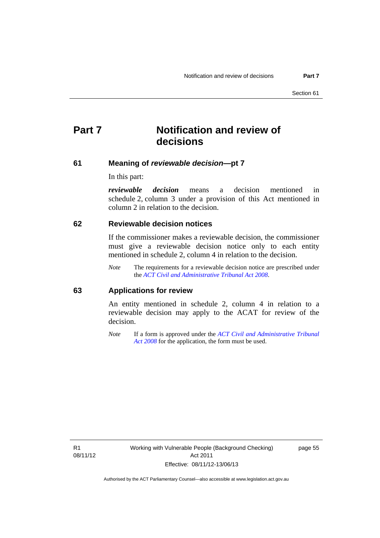# **Part 7 Notification and review of decisions**

#### **61 Meaning of** *reviewable decision***—pt 7**

In this part:

*reviewable decision* means a decision mentioned in schedule 2, column 3 under a provision of this Act mentioned in column 2 in relation to the decision.

#### **62 Reviewable decision notices**

If the commissioner makes a reviewable decision, the commissioner must give a reviewable decision notice only to each entity mentioned in schedule 2, column 4 in relation to the decision.

*Note* The requirements for a reviewable decision notice are prescribed under the *[ACT Civil and Administrative Tribunal Act 2008](http://www.legislation.act.gov.au/a/2008-35)*.

#### **63 Applications for review**

An entity mentioned in schedule 2, column 4 in relation to a reviewable decision may apply to the ACAT for review of the decision.

*Note* If a form is approved under the *[ACT Civil and Administrative Tribunal](http://www.legislation.act.gov.au/a/2008-35)  [Act 2008](http://www.legislation.act.gov.au/a/2008-35)* for the application, the form must be used.

R1 08/11/12 page 55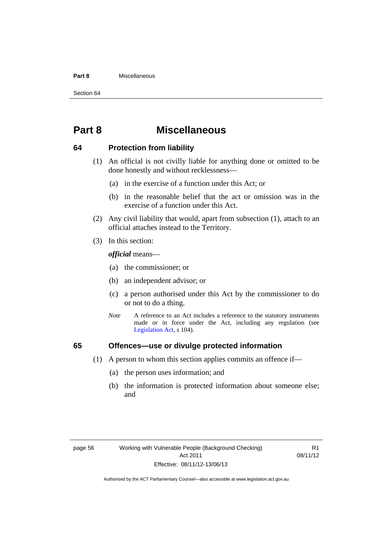#### **Part 8** Miscellaneous

Section 64

# **Part 8 Miscellaneous**

#### **64 Protection from liability**

- (1) An official is not civilly liable for anything done or omitted to be done honestly and without recklessness—
	- (a) in the exercise of a function under this Act; or
	- (b) in the reasonable belief that the act or omission was in the exercise of a function under this Act.
- (2) Any civil liability that would, apart from subsection (1), attach to an official attaches instead to the Territory.
- (3) In this section:

*official* means—

- (a) the commissioner; or
- (b) an independent advisor; or
- (c) a person authorised under this Act by the commissioner to do or not to do a thing.
- *Note* A reference to an Act includes a reference to the statutory instruments made or in force under the Act, including any regulation (see [Legislation Act,](http://www.legislation.act.gov.au/a/2001-14) s 104).

## **65 Offences—use or divulge protected information**

- (1) A person to whom this section applies commits an offence if—
	- (a) the person uses information; and
	- (b) the information is protected information about someone else; and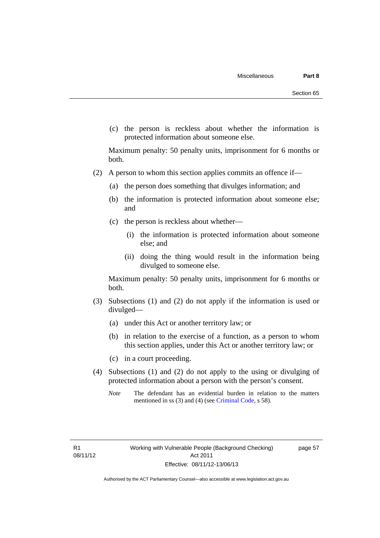(c) the person is reckless about whether the information is protected information about someone else.

Maximum penalty: 50 penalty units, imprisonment for 6 months or both.

- (2) A person to whom this section applies commits an offence if—
	- (a) the person does something that divulges information; and
	- (b) the information is protected information about someone else; and
	- (c) the person is reckless about whether—
		- (i) the information is protected information about someone else; and
		- (ii) doing the thing would result in the information being divulged to someone else.

Maximum penalty: 50 penalty units, imprisonment for 6 months or both.

- (3) Subsections (1) and (2) do not apply if the information is used or divulged—
	- (a) under this Act or another territory law; or
	- (b) in relation to the exercise of a function, as a person to whom this section applies, under this Act or another territory law; or
	- (c) in a court proceeding.
- (4) Subsections (1) and (2) do not apply to the using or divulging of protected information about a person with the person's consent.
	- *Note* The defendant has an evidential burden in relation to the matters mentioned in ss (3) and (4) (see [Criminal Code](http://www.legislation.act.gov.au/a/2002-51/default.asp), s 58).

page 57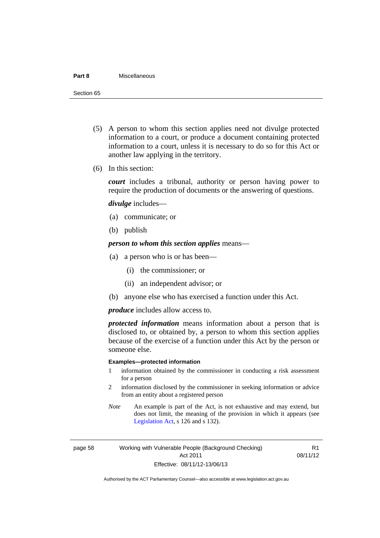#### **Part 8** Miscellaneous

Section 65

- (5) A person to whom this section applies need not divulge protected information to a court, or produce a document containing protected information to a court, unless it is necessary to do so for this Act or another law applying in the territory.
- (6) In this section:

*court* includes a tribunal, authority or person having power to require the production of documents or the answering of questions.

*divulge* includes—

- (a) communicate; or
- (b) publish

*person to whom this section applies* means—

- (a) a person who is or has been—
	- (i) the commissioner; or
	- (ii) an independent advisor; or
- (b) anyone else who has exercised a function under this Act.

*produce* includes allow access to.

*protected information* means information about a person that is disclosed to, or obtained by, a person to whom this section applies because of the exercise of a function under this Act by the person or someone else.

#### **Examples—protected information**

- 1 information obtained by the commissioner in conducting a risk assessment for a person
- 2 information disclosed by the commissioner in seeking information or advice from an entity about a registered person
- *Note* An example is part of the Act, is not exhaustive and may extend, but does not limit, the meaning of the provision in which it appears (see [Legislation Act,](http://www.legislation.act.gov.au/a/2001-14) s 126 and s 132).

page 58 Working with Vulnerable People (Background Checking) Act 2011 Effective: 08/11/12-13/06/13

R1 08/11/12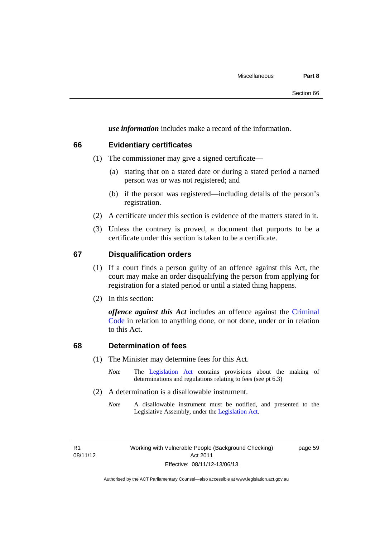*use information* includes make a record of the information.

#### **66 Evidentiary certificates**

- (1) The commissioner may give a signed certificate—
	- (a) stating that on a stated date or during a stated period a named person was or was not registered; and
	- (b) if the person was registered—including details of the person's registration.
- (2) A certificate under this section is evidence of the matters stated in it.
- (3) Unless the contrary is proved, a document that purports to be a certificate under this section is taken to be a certificate.

#### **67 Disqualification orders**

- (1) If a court finds a person guilty of an offence against this Act, the court may make an order disqualifying the person from applying for registration for a stated period or until a stated thing happens.
- (2) In this section:

*offence against this Act* includes an offence against the [Criminal](http://www.legislation.act.gov.au/a/2002-51)  [Code](http://www.legislation.act.gov.au/a/2002-51) in relation to anything done, or not done, under or in relation to this Act.

#### **68 Determination of fees**

- (1) The Minister may determine fees for this Act.
	- *Note* The [Legislation Act](http://www.legislation.act.gov.au/a/2001-14) contains provisions about the making of determinations and regulations relating to fees (see pt 6.3)
- (2) A determination is a disallowable instrument.
	- *Note* A disallowable instrument must be notified, and presented to the Legislative Assembly, under the [Legislation Act.](http://www.legislation.act.gov.au/a/2001-14)

R1 08/11/12 page 59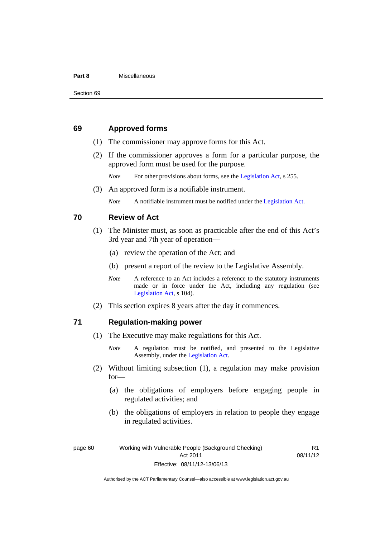#### **Part 8** Miscellaneous

#### **69 Approved forms**

- (1) The commissioner may approve forms for this Act.
- (2) If the commissioner approves a form for a particular purpose, the approved form must be used for the purpose.

*Note* For other provisions about forms, see the [Legislation Act,](http://www.legislation.act.gov.au/a/2001-14) s 255.

(3) An approved form is a notifiable instrument.

*Note* A notifiable instrument must be notified under the [Legislation Act](http://www.legislation.act.gov.au/a/2001-14).

#### **70 Review of Act**

- (1) The Minister must, as soon as practicable after the end of this Act's 3rd year and 7th year of operation—
	- (a) review the operation of the Act; and
	- (b) present a report of the review to the Legislative Assembly.
	- *Note* A reference to an Act includes a reference to the statutory instruments made or in force under the Act, including any regulation (see [Legislation Act,](http://www.legislation.act.gov.au/a/2001-14) s 104).
- (2) This section expires 8 years after the day it commences.

#### **71 Regulation-making power**

(1) The Executive may make regulations for this Act.

- (2) Without limiting subsection (1), a regulation may make provision for—
	- (a) the obligations of employers before engaging people in regulated activities; and
	- (b) the obligations of employers in relation to people they engage in regulated activities.

R1 08/11/12

*Note* A regulation must be notified, and presented to the Legislative Assembly, under the [Legislation Act](http://www.legislation.act.gov.au/a/2001-14).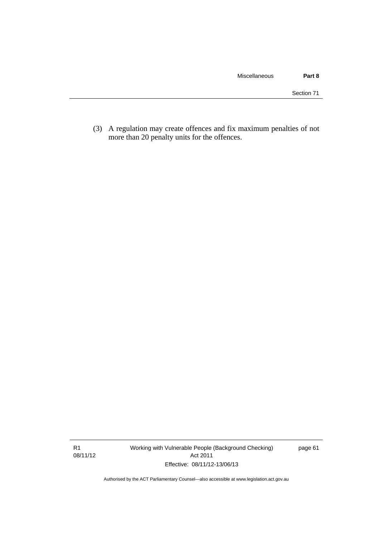(3) A regulation may create offences and fix maximum penalties of not more than 20 penalty units for the offences.

R1 08/11/12 Working with Vulnerable People (Background Checking) Act 2011 Effective: 08/11/12-13/06/13

page 61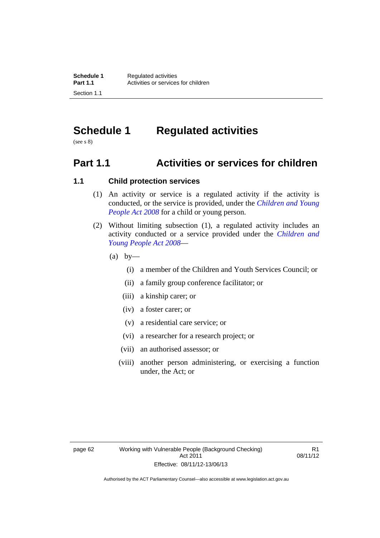# **Schedule 1 Regulated activities**

(see s 8)

# **Part 1.1 Activities or services for children**

## **1.1 Child protection services**

- (1) An activity or service is a regulated activity if the activity is conducted, or the service is provided, under the *[Children and Young](http://www.legislation.act.gov.au/a/2008-19)  [People Act 2008](http://www.legislation.act.gov.au/a/2008-19)* for a child or young person.
- (2) Without limiting subsection (1), a regulated activity includes an activity conducted or a service provided under the *[Children and](http://www.legislation.act.gov.au/a/2008-19)  [Young People Act 2008](http://www.legislation.act.gov.au/a/2008-19)*—
	- $(a)$  by—
		- (i) a member of the Children and Youth Services Council; or
		- (ii) a family group conference facilitator; or
		- (iii) a kinship carer; or
		- (iv) a foster carer; or
		- (v) a residential care service; or
		- (vi) a researcher for a research project; or
		- (vii) an authorised assessor; or
		- (viii) another person administering, or exercising a function under, the Act; or

R1 08/11/12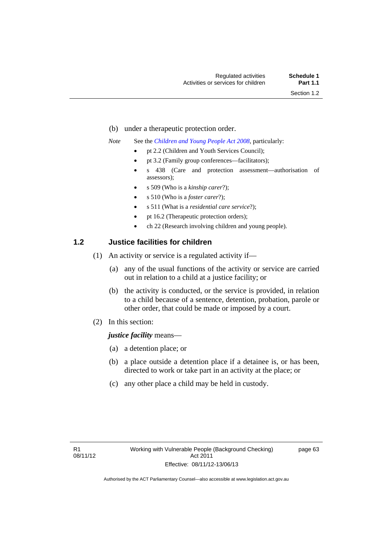- (b) under a therapeutic protection order.
- *Note* See the *[Children and Young People Act 2008](http://www.legislation.act.gov.au/a/2008-19)*, particularly:
	- pt 2.2 (Children and Youth Services Council);
	- pt 3.2 (Family group conferences—facilitators);
	- s 438 (Care and protection assessment—authorisation of assessors);
	- s 509 (Who is a *kinship carer*?);
	- s 510 (Who is a *foster carer*?);
	- s 511 (What is a *residential care service*?);
	- pt 16.2 (Therapeutic protection orders);
	- ch 22 (Research involving children and young people).

## **1.2 Justice facilities for children**

- (1) An activity or service is a regulated activity if—
	- (a) any of the usual functions of the activity or service are carried out in relation to a child at a justice facility; or
	- (b) the activity is conducted, or the service is provided, in relation to a child because of a sentence, detention, probation, parole or other order, that could be made or imposed by a court.
- (2) In this section:

#### *justice facility* means—

- (a) a detention place; or
- (b) a place outside a detention place if a detainee is, or has been, directed to work or take part in an activity at the place; or
- (c) any other place a child may be held in custody.

page 63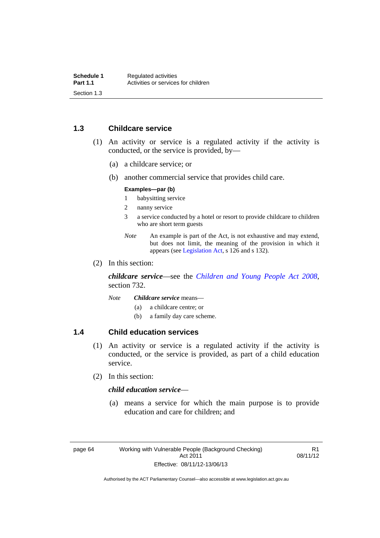## **1.3 Childcare service**

- (1) An activity or service is a regulated activity if the activity is conducted, or the service is provided, by—
	- (a) a childcare service; or
	- (b) another commercial service that provides child care.

#### **Examples—par (b)**

- 1 babysitting service
- 2 nanny service
- 3 a service conducted by a hotel or resort to provide childcare to children who are short term guests
- *Note* An example is part of the Act, is not exhaustive and may extend, but does not limit, the meaning of the provision in which it appears (see [Legislation Act,](http://www.legislation.act.gov.au/a/2001-14) s 126 and s 132).
- (2) In this section:

*childcare service*—see the *[Children and Young People Act 2008](http://www.legislation.act.gov.au/a/2008-19)*, section 732.

- *Note Childcare service* means—
	- (a) a childcare centre; or
	- (b) a family day care scheme.

## **1.4 Child education services**

- (1) An activity or service is a regulated activity if the activity is conducted, or the service is provided, as part of a child education service.
- (2) In this section:

#### *child education service*—

 (a) means a service for which the main purpose is to provide education and care for children; and

R1 08/11/12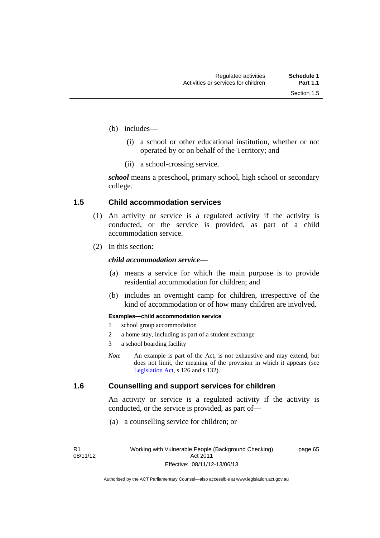- (b) includes—
	- (i) a school or other educational institution, whether or not operated by or on behalf of the Territory; and
	- (ii) a school-crossing service.

*school* means a preschool, primary school, high school or secondary college.

#### **1.5 Child accommodation services**

- (1) An activity or service is a regulated activity if the activity is conducted, or the service is provided, as part of a child accommodation service.
- (2) In this section:

## *child accommodation service*—

- (a) means a service for which the main purpose is to provide residential accommodation for children; and
- (b) includes an overnight camp for children, irrespective of the kind of accommodation or of how many children are involved.

#### **Examples—child accommodation service**

- 1 school group accommodation
- 2 a home stay, including as part of a student exchange
- 3 a school boarding facility
- *Note* An example is part of the Act, is not exhaustive and may extend, but does not limit, the meaning of the provision in which it appears (see [Legislation Act,](http://www.legislation.act.gov.au/a/2001-14) s 126 and s 132).

## **1.6 Counselling and support services for children**

An activity or service is a regulated activity if the activity is conducted, or the service is provided, as part of—

(a) a counselling service for children; or

R1 08/11/12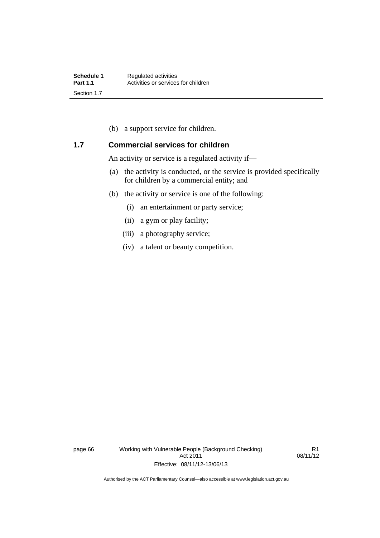(b) a support service for children.

## **1.7 Commercial services for children**

An activity or service is a regulated activity if—

- (a) the activity is conducted, or the service is provided specifically for children by a commercial entity; and
- (b) the activity or service is one of the following:
	- (i) an entertainment or party service;
	- (ii) a gym or play facility;
	- (iii) a photography service;
	- (iv) a talent or beauty competition.

page 66 Working with Vulnerable People (Background Checking) Act 2011 Effective: 08/11/12-13/06/13

R1 08/11/12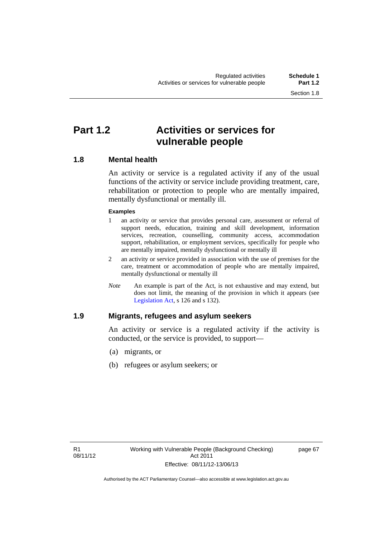# **Part 1.2 Activities or services for vulnerable people**

## **1.8 Mental health**

An activity or service is a regulated activity if any of the usual functions of the activity or service include providing treatment, care, rehabilitation or protection to people who are mentally impaired, mentally dysfunctional or mentally ill.

#### **Examples**

- 1 an activity or service that provides personal care, assessment or referral of support needs, education, training and skill development, information services, recreation, counselling, community access, accommodation support, rehabilitation, or employment services, specifically for people who are mentally impaired, mentally dysfunctional or mentally ill
- 2 an activity or service provided in association with the use of premises for the care, treatment or accommodation of people who are mentally impaired, mentally dysfunctional or mentally ill
- *Note* An example is part of the Act, is not exhaustive and may extend, but does not limit, the meaning of the provision in which it appears (see [Legislation Act,](http://www.legislation.act.gov.au/a/2001-14) s 126 and s 132).

## **1.9 Migrants, refugees and asylum seekers**

An activity or service is a regulated activity if the activity is conducted, or the service is provided, to support—

- (a) migrants, or
- (b) refugees or asylum seekers; or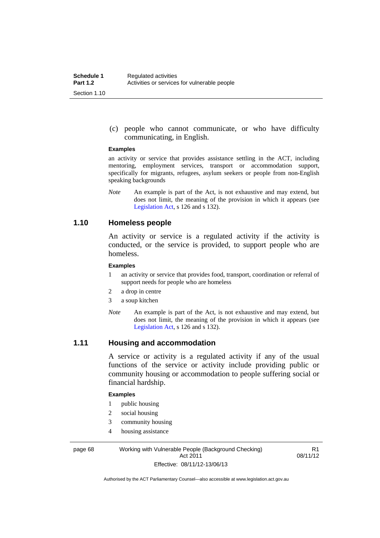(c) people who cannot communicate, or who have difficulty communicating, in English.

#### **Examples**

an activity or service that provides assistance settling in the ACT, including mentoring, employment services, transport or accommodation support, specifically for migrants, refugees, asylum seekers or people from non-English speaking backgrounds

*Note* An example is part of the Act, is not exhaustive and may extend, but does not limit, the meaning of the provision in which it appears (see [Legislation Act,](http://www.legislation.act.gov.au/a/2001-14) s 126 and s 132).

## **1.10 Homeless people**

An activity or service is a regulated activity if the activity is conducted, or the service is provided, to support people who are homeless.

#### **Examples**

- 1 an activity or service that provides food, transport, coordination or referral of support needs for people who are homeless
- 2 a drop in centre
- 3 a soup kitchen
- *Note* An example is part of the Act, is not exhaustive and may extend, but does not limit, the meaning of the provision in which it appears (see [Legislation Act,](http://www.legislation.act.gov.au/a/2001-14) s 126 and s 132).

## **1.11 Housing and accommodation**

A service or activity is a regulated activity if any of the usual functions of the service or activity include providing public or community housing or accommodation to people suffering social or financial hardship.

#### **Examples**

- 1 public housing
- 2 social housing
- 3 community housing
- 4 housing assistance

page 68 Working with Vulnerable People (Background Checking) Act 2011 Effective: 08/11/12-13/06/13

R1 08/11/12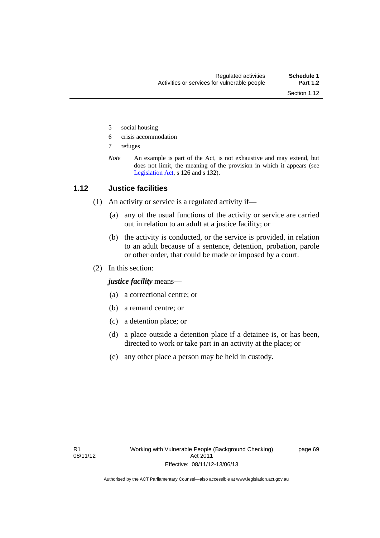- 5 social housing
- 6 crisis accommodation
- 7 refuges
- *Note* An example is part of the Act, is not exhaustive and may extend, but does not limit, the meaning of the provision in which it appears (see [Legislation Act,](http://www.legislation.act.gov.au/a/2001-14) s 126 and s 132).

## **1.12 Justice facilities**

- (1) An activity or service is a regulated activity if—
	- (a) any of the usual functions of the activity or service are carried out in relation to an adult at a justice facility; or
	- (b) the activity is conducted, or the service is provided, in relation to an adult because of a sentence, detention, probation, parole or other order, that could be made or imposed by a court.
- (2) In this section:

*justice facility* means—

- (a) a correctional centre; or
- (b) a remand centre; or
- (c) a detention place; or
- (d) a place outside a detention place if a detainee is, or has been, directed to work or take part in an activity at the place; or
- (e) any other place a person may be held in custody.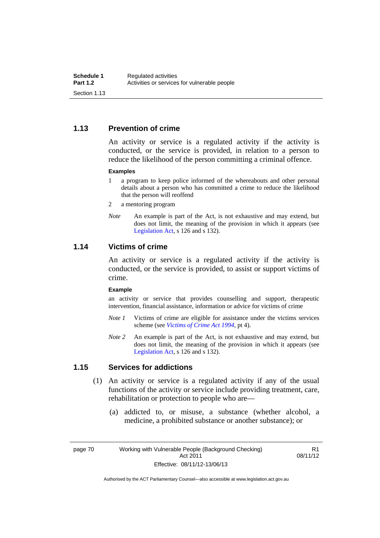## **1.13 Prevention of crime**

An activity or service is a regulated activity if the activity is conducted, or the service is provided, in relation to a person to reduce the likelihood of the person committing a criminal offence.

#### **Examples**

- 1 a program to keep police informed of the whereabouts and other personal details about a person who has committed a crime to reduce the likelihood that the person will reoffend
- 2 a mentoring program
- *Note* An example is part of the Act, is not exhaustive and may extend, but does not limit, the meaning of the provision in which it appears (see [Legislation Act,](http://www.legislation.act.gov.au/a/2001-14) s 126 and s 132).

## **1.14 Victims of crime**

An activity or service is a regulated activity if the activity is conducted, or the service is provided, to assist or support victims of crime.

#### **Example**

an activity or service that provides counselling and support, therapeutic intervention, financial assistance, information or advice for victims of crime

- *Note 1* Victims of crime are eligible for assistance under the victims services scheme (see *[Victims of Crime Act 1994](http://www.legislation.act.gov.au/a/1994-83)*, pt 4).
- *Note 2* An example is part of the Act, is not exhaustive and may extend, but does not limit, the meaning of the provision in which it appears (see [Legislation Act,](http://www.legislation.act.gov.au/a/2001-14) s 126 and s 132).

## **1.15 Services for addictions**

- (1) An activity or service is a regulated activity if any of the usual functions of the activity or service include providing treatment, care, rehabilitation or protection to people who are—
	- (a) addicted to, or misuse, a substance (whether alcohol, a medicine, a prohibited substance or another substance); or

R1 08/11/12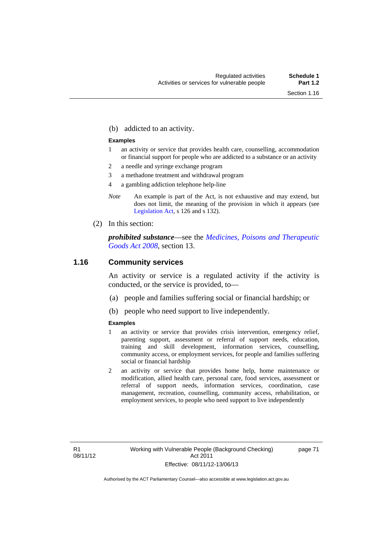(b) addicted to an activity.

#### **Examples**

- 1 an activity or service that provides health care, counselling, accommodation or financial support for people who are addicted to a substance or an activity
- 2 a needle and syringe exchange program
- 3 a methadone treatment and withdrawal program
- 4 a gambling addiction telephone help-line
- *Note* An example is part of the Act, is not exhaustive and may extend, but does not limit, the meaning of the provision in which it appears (see [Legislation Act,](http://www.legislation.act.gov.au/a/2001-14) s 126 and s 132).
- (2) In this section:

*prohibited substance*—see the *[Medicines, Poisons and Therapeutic](http://www.legislation.act.gov.au/a/2008-26)  [Goods Act 2008](http://www.legislation.act.gov.au/a/2008-26)*, section 13.

#### **1.16 Community services**

An activity or service is a regulated activity if the activity is conducted, or the service is provided, to—

- (a) people and families suffering social or financial hardship; or
- (b) people who need support to live independently.

#### **Examples**

- 1 an activity or service that provides crisis intervention, emergency relief, parenting support, assessment or referral of support needs, education, training and skill development, information services, counselling, community access, or employment services, for people and families suffering social or financial hardship
- 2 an activity or service that provides home help, home maintenance or modification, allied health care, personal care, food services, assessment or referral of support needs, information services, coordination, case management, recreation, counselling, community access, rehabilitation, or employment services, to people who need support to live independently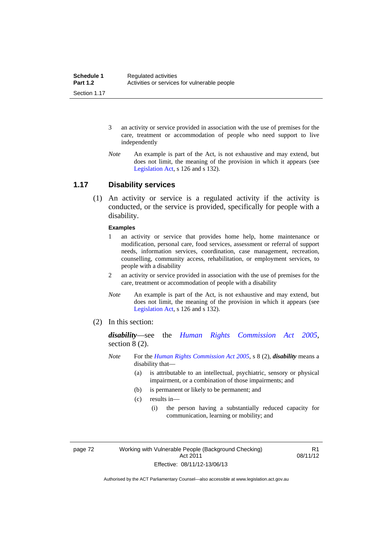- 3 an activity or service provided in association with the use of premises for the care, treatment or accommodation of people who need support to live independently
- *Note* An example is part of the Act, is not exhaustive and may extend, but does not limit, the meaning of the provision in which it appears (see [Legislation Act,](http://www.legislation.act.gov.au/a/2001-14) s 126 and s 132).

## **1.17 Disability services**

 (1) An activity or service is a regulated activity if the activity is conducted, or the service is provided, specifically for people with a disability.

#### **Examples**

- 1 an activity or service that provides home help, home maintenance or modification, personal care, food services, assessment or referral of support needs, information services, coordination, case management, recreation, counselling, community access, rehabilitation, or employment services, to people with a disability
- 2 an activity or service provided in association with the use of premises for the care, treatment or accommodation of people with a disability
- *Note* An example is part of the Act, is not exhaustive and may extend, but does not limit, the meaning of the provision in which it appears (see [Legislation Act,](http://www.legislation.act.gov.au/a/2001-14) s 126 and s 132).
- (2) In this section:

*disability*—see the *[Human Rights Commission Act 2005](http://www.legislation.act.gov.au/a/2005-40)*, section 8 (2).

- *Note* For the *[Human Rights Commission Act 2005](http://www.legislation.act.gov.au/a/2005-40)*, s 8 (2), *disability* means a disability that—
	- (a) is attributable to an intellectual, psychiatric, sensory or physical impairment, or a combination of those impairments; and
	- (b) is permanent or likely to be permanent; and
	- (c) results in—
		- (i) the person having a substantially reduced capacity for communication, learning or mobility; and

page 72 Working with Vulnerable People (Background Checking) Act 2011 Effective: 08/11/12-13/06/13

R1 08/11/12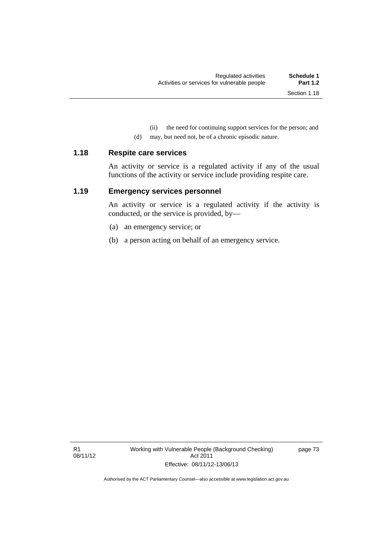(ii) the need for continuing support services for the person; and

(d) may, but need not, be of a chronic episodic nature.

#### **1.18 Respite care services**

An activity or service is a regulated activity if any of the usual functions of the activity or service include providing respite care.

## **1.19 Emergency services personnel**

An activity or service is a regulated activity if the activity is conducted, or the service is provided, by—

- (a) an emergency service; or
- (b) a person acting on behalf of an emergency service.

page 73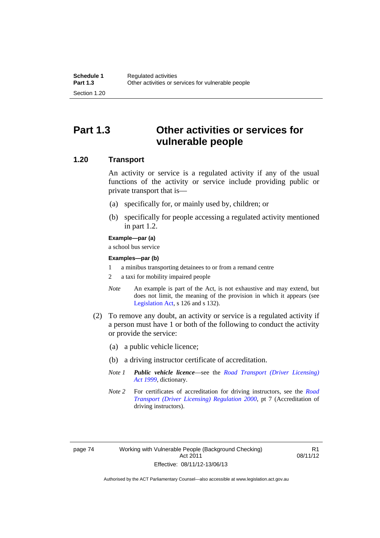## **Part 1.3 Other activities or services for vulnerable people**

## **1.20 Transport**

An activity or service is a regulated activity if any of the usual functions of the activity or service include providing public or private transport that is—

- (a) specifically for, or mainly used by, children; or
- (b) specifically for people accessing a regulated activity mentioned in part 1.2.

#### **Example—par (a)**

a school bus service

#### **Examples—par (b)**

- 1 a minibus transporting detainees to or from a remand centre
- 2 a taxi for mobility impaired people
- *Note* An example is part of the Act, is not exhaustive and may extend, but does not limit, the meaning of the provision in which it appears (see [Legislation Act,](http://www.legislation.act.gov.au/a/2001-14) s 126 and s 132).
- (2) To remove any doubt, an activity or service is a regulated activity if a person must have 1 or both of the following to conduct the activity or provide the service:
	- (a) a public vehicle licence;
	- (b) a driving instructor certificate of accreditation.
	- *Note 1 Public vehicle licence*—see the *[Road Transport \(Driver Licensing\)](http://www.legislation.act.gov.au/a/1999-78)  [Act 1999](http://www.legislation.act.gov.au/a/1999-78)*, dictionary.
	- *Note 2* For certificates of accreditation for driving instructors, see the *[Road](http://www.legislation.act.gov.au/sl/2000-14)  [Transport \(Driver Licensing\) Regulation 2000](http://www.legislation.act.gov.au/sl/2000-14)*, pt 7 (Accreditation of driving instructors).

R1 08/11/12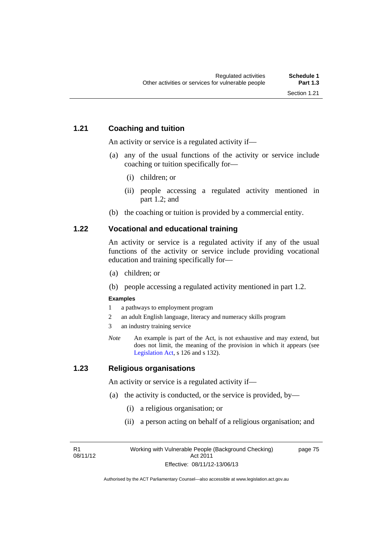## **1.21 Coaching and tuition**

An activity or service is a regulated activity if—

- (a) any of the usual functions of the activity or service include coaching or tuition specifically for—
	- (i) children; or
	- (ii) people accessing a regulated activity mentioned in part 1.2; and
- (b) the coaching or tuition is provided by a commercial entity.

## **1.22 Vocational and educational training**

An activity or service is a regulated activity if any of the usual functions of the activity or service include providing vocational education and training specifically for—

- (a) children; or
- (b) people accessing a regulated activity mentioned in part 1.2.

#### **Examples**

- 1 a pathways to employment program
- 2 an adult English language, literacy and numeracy skills program
- 3 an industry training service
- *Note* An example is part of the Act, is not exhaustive and may extend, but does not limit, the meaning of the provision in which it appears (see [Legislation Act,](http://www.legislation.act.gov.au/a/2001-14) s 126 and s 132).

## **1.23 Religious organisations**

An activity or service is a regulated activity if—

- (a) the activity is conducted, or the service is provided, by—
	- (i) a religious organisation; or
	- (ii) a person acting on behalf of a religious organisation; and

R1 08/11/12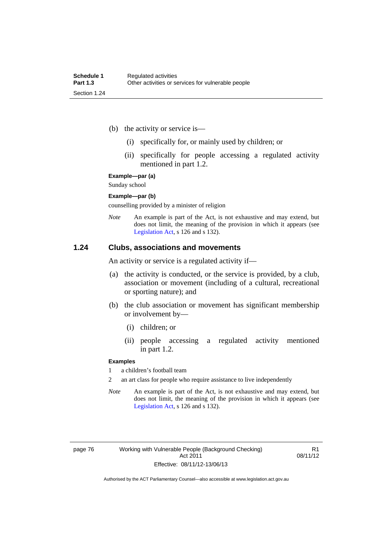- (b) the activity or service is—
	- (i) specifically for, or mainly used by children; or
	- (ii) specifically for people accessing a regulated activity mentioned in part 1.2.

**Example—par (a)** 

Sunday school

#### **Example—par (b)**

counselling provided by a minister of religion

*Note* An example is part of the Act, is not exhaustive and may extend, but does not limit, the meaning of the provision in which it appears (see [Legislation Act,](http://www.legislation.act.gov.au/a/2001-14) s 126 and s 132).

#### **1.24 Clubs, associations and movements**

An activity or service is a regulated activity if—

- (a) the activity is conducted, or the service is provided, by a club, association or movement (including of a cultural, recreational or sporting nature); and
- (b) the club association or movement has significant membership or involvement by—
	- (i) children; or
	- (ii) people accessing a regulated activity mentioned in part 1.2.

#### **Examples**

1 a children's football team

2 an art class for people who require assistance to live independently

*Note* An example is part of the Act, is not exhaustive and may extend, but does not limit, the meaning of the provision in which it appears (see [Legislation Act,](http://www.legislation.act.gov.au/a/2001-14) s 126 and s 132).

R1 08/11/12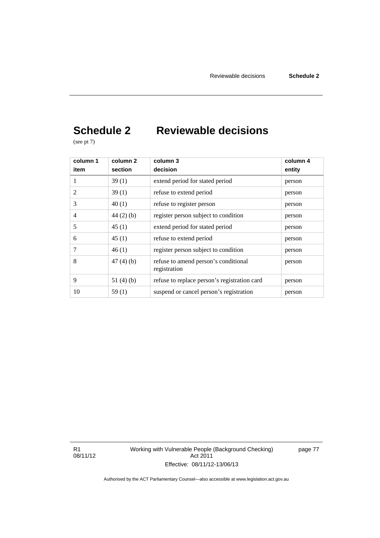# **Schedule 2 Reviewable decisions**

(see pt 7)

| column 1<br>item | column <sub>2</sub><br>section | column 3<br>decision                                 | column 4<br>entity |
|------------------|--------------------------------|------------------------------------------------------|--------------------|
|                  | 39(1)                          | extend period for stated period                      | person             |
| 2                | 39(1)                          | refuse to extend period                              | person             |
| 3                | 40(1)                          | refuse to register person                            | person             |
| 4                | $44(2)$ (b)                    | register person subject to condition                 | person             |
| 5                | 45(1)                          | extend period for stated period                      | person             |
| 6                | 45(1)                          | refuse to extend period                              | person             |
| 7                | 46(1)                          | register person subject to condition                 | person             |
| 8                | 47(4)(b)                       | refuse to amend person's conditional<br>registration | person             |
| 9                | 51 $(4)(b)$                    | refuse to replace person's registration card         | person             |
| 10               | 59(1)                          | suspend or cancel person's registration              | person             |

R1 08/11/12 Working with Vulnerable People (Background Checking) Act 2011 Effective: 08/11/12-13/06/13

page 77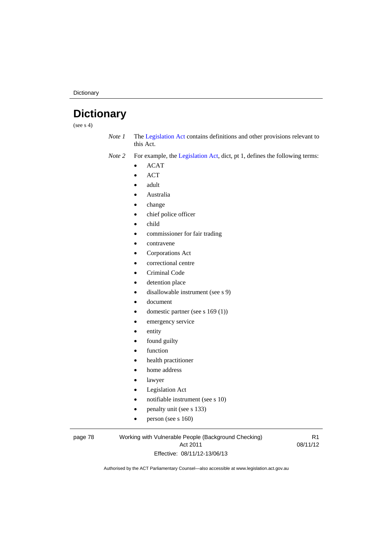**Dictionary** 

# **Dictionary**

(see  $s$  4)

*Note 1* The [Legislation Act](http://www.legislation.act.gov.au/a/2001-14) contains definitions and other provisions relevant to this Act.

*Note 2* For example, the [Legislation Act,](http://www.legislation.act.gov.au/a/2001-14) dict, pt 1, defines the following terms:

- $\bullet$  ACAT
- ACT
- adult
- Australia
- change
- chief police officer
- child
- commissioner for fair trading
- contravene
- Corporations Act
- correctional centre
- Criminal Code
- detention place
- disallowable instrument (see s 9)
- document
- domestic partner (see s 169 (1))
- emergency service
- entity
- found guilty
- function
- health practitioner
- home address
- lawyer
- Legislation Act
- notifiable instrument (see s 10)
- penalty unit (see s 133)
- $\bullet$  person (see s 160)

#### page 78 Working with Vulnerable People (Background Checking) Act 2011 Effective: 08/11/12-13/06/13

R1 08/11/12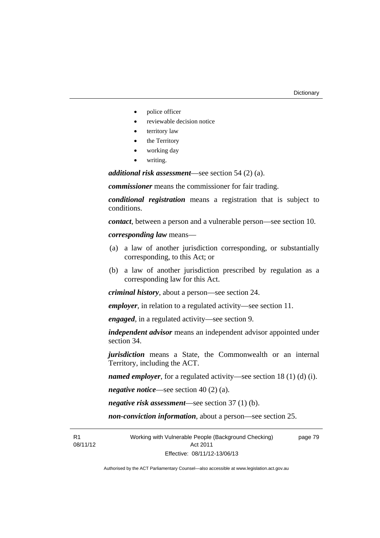- police officer
- reviewable decision notice
- territory law
- the Territory
- working day
- writing.

*additional risk assessment*—see section 54 (2) (a).

*commissioner* means the commissioner for fair trading.

*conditional registration* means a registration that is subject to conditions.

*contact*, between a person and a vulnerable person—see section 10.

*corresponding law* means—

- (a) a law of another jurisdiction corresponding, or substantially corresponding, to this Act; or
- (b) a law of another jurisdiction prescribed by regulation as a corresponding law for this Act.

*criminal history*, about a person—see section 24.

*employer*, in relation to a regulated activity—see section 11.

*engaged*, in a regulated activity—see section 9.

*independent advisor* means an independent advisor appointed under section 34.

*jurisdiction* means a State, the Commonwealth or an internal Territory, including the ACT.

*named employer*, for a regulated activity—see section 18 (1) (d) (i).

*negative notice*—see section 40 (2) (a).

*negative risk assessment*—see section 37 (1) (b).

*non-conviction information*, about a person—see section 25.

R1 08/11/12 Working with Vulnerable People (Background Checking) Act 2011 Effective: 08/11/12-13/06/13

page 79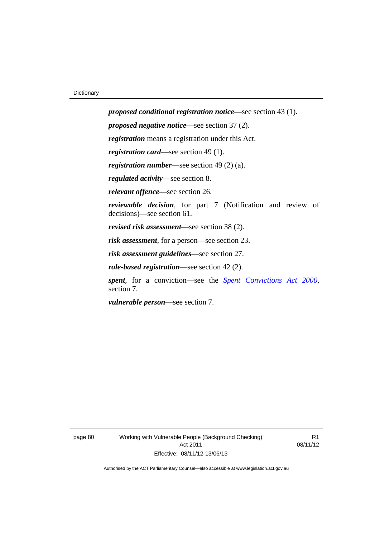*proposed conditional registration notice*—see section 43 (1). *proposed negative notice*—see section 37 (2). *registration* means a registration under this Act. *registration card*—see section 49 (1). *registration number*—see section 49 (2) (a). *regulated activity*—see section 8. *relevant offence*—see section 26. *reviewable decision*, for part 7 (Notification and review of decisions)—see section 61. *revised risk assessment*—see section 38 (2). *risk assessment*, for a person—see section 23. *risk assessment guidelines*—see section 27. *role-based registration*—see section 42 (2). *spent*, for a conviction—see the *[Spent Convictions Act 2000](http://www.legislation.act.gov.au/a/2000-48)*, section 7.

*vulnerable person*—see section 7.

page 80 Working with Vulnerable People (Background Checking) Act 2011 Effective: 08/11/12-13/06/13

R1 08/11/12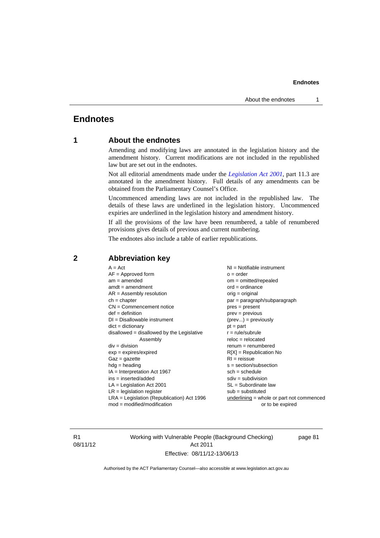#### **Endnotes**

## **Endnotes**

## **1 About the endnotes**

Amending and modifying laws are annotated in the legislation history and the amendment history. Current modifications are not included in the republished law but are set out in the endnotes.

Not all editorial amendments made under the *[Legislation Act 2001](http://www.legislation.act.gov.au/a/2001-14)*, part 11.3 are annotated in the amendment history. Full details of any amendments can be obtained from the Parliamentary Counsel's Office.

Uncommenced amending laws are not included in the republished law. The details of these laws are underlined in the legislation history. Uncommenced expiries are underlined in the legislation history and amendment history.

If all the provisions of the law have been renumbered, a table of renumbered provisions gives details of previous and current numbering.

The endnotes also include a table of earlier republications.

| $A = Act$<br>$AF =$ Approved form<br>$am = amended$<br>$amdt = amendment$<br>$AR = Assembly resolution$<br>$ch = chapter$<br>$CN =$ Commencement notice<br>$def = definition$<br>$DI = Disallowable instrument$<br>$dict = dictionary$<br>disallowed = disallowed by the Legislative<br>Assembly<br>$div = division$<br>$exp = expires/expired$<br>$Gaz = gazette$<br>$hdg = heading$<br>$IA = Interpretation Act 1967$<br>$ins = inserted/added$<br>$LA =$ Legislation Act 2001<br>$LR =$ legislation register | NI = Notifiable instrument<br>$o = order$<br>$om = omitted/repealed$<br>$ord = ordinance$<br>$orig = original$<br>par = paragraph/subparagraph<br>$pres = present$<br>$prev = previous$<br>$(\text{prev}) = \text{previously}$<br>$pt = part$<br>$r = rule/subrule$<br>$reloc = relocated$<br>$remum = renumbered$<br>$R[X]$ = Republication No<br>$RI = reissue$<br>$s = section/subsection$<br>$sch = schedule$<br>$sdiv = subdivision$<br>$SL = Subordinate$ law<br>$sub =$ substituted |
|-----------------------------------------------------------------------------------------------------------------------------------------------------------------------------------------------------------------------------------------------------------------------------------------------------------------------------------------------------------------------------------------------------------------------------------------------------------------------------------------------------------------|--------------------------------------------------------------------------------------------------------------------------------------------------------------------------------------------------------------------------------------------------------------------------------------------------------------------------------------------------------------------------------------------------------------------------------------------------------------------------------------------|
|                                                                                                                                                                                                                                                                                                                                                                                                                                                                                                                 |                                                                                                                                                                                                                                                                                                                                                                                                                                                                                            |
| $LRA =$ Legislation (Republication) Act 1996<br>$mod = modified/modification$                                                                                                                                                                                                                                                                                                                                                                                                                                   | $underlining = whole or part not commenced$<br>or to be expired                                                                                                                                                                                                                                                                                                                                                                                                                            |
|                                                                                                                                                                                                                                                                                                                                                                                                                                                                                                                 |                                                                                                                                                                                                                                                                                                                                                                                                                                                                                            |

## **2 Abbreviation key**

R1 08/11/12 Working with Vulnerable People (Background Checking) Act 2011 Effective: 08/11/12-13/06/13

page 81